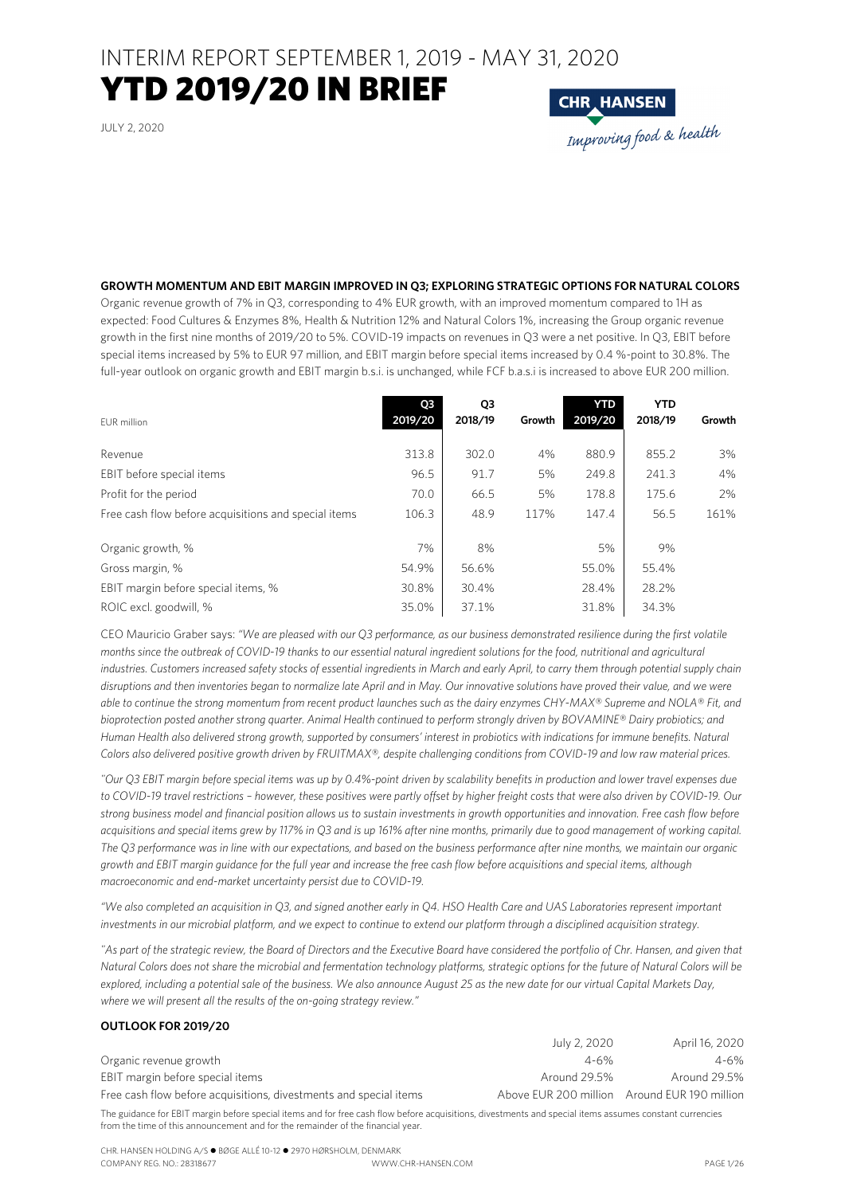### INTERIM REPORT SEPTEMBER 1, 2019 - MAY 31, 2020

### YTD 2019/20 IN BRIEF

JULY 2, 2020

# IHK HANSEN<br>Improving food & health

#### **GROWTH MOMENTUM AND EBIT MARGIN IMPROVED IN Q3; EXPLORING STRATEGIC OPTIONS FOR NATURAL COLORS**

Organic revenue growth of 7% in Q3, corresponding to 4% EUR growth, with an improved momentum compared to 1H as expected: Food Cultures & Enzymes 8%, Health & Nutrition 12% and Natural Colors 1%, increasing the Group organic revenue growth in the first nine months of 2019/20 to 5%. COVID-19 impacts on revenues in Q3 were a net positive. In Q3, EBIT before special items increased by 5% to EUR 97 million, and EBIT margin before special items increased by 0.4 %-point to 30.8%. The full-year outlook on organic growth and EBIT margin b.s.i. is unchanged, while FCF b.a.s.i is increased to above EUR 200 million.

| EUR million                                          | Q <sub>3</sub><br>2019/20 | Q3<br>2018/19 | Growth | <b>YTD</b><br>2019/20 | <b>YTD</b><br>2018/19 | Growth |
|------------------------------------------------------|---------------------------|---------------|--------|-----------------------|-----------------------|--------|
| Revenue                                              | 313.8                     | 302.0         | 4%     | 880.9                 | 855.2                 | 3%     |
| EBIT before special items                            | 96.5                      | 91.7          | 5%     | 249.8                 | 241.3                 | 4%     |
| Profit for the period                                | 70.0                      | 66.5          | 5%     | 178.8                 | 175.6                 | 2%     |
| Free cash flow before acquisitions and special items | 106.3                     | 48.9          | 117%   | 147.4                 | 56.5                  | 161%   |
| Organic growth, %                                    | 7%                        | 8%            |        | 5%                    | 9%                    |        |
| Gross margin, %                                      | 54.9%                     | 56.6%         |        | 55.0%                 | 55.4%                 |        |
| EBIT margin before special items, %                  | 30.8%                     | 30.4%         |        | 28.4%                 | 28.2%                 |        |
| ROIC excl. goodwill, %                               | 35.0%                     | 37.1%         |        | 31.8%                 | 34.3%                 |        |

CEO Mauricio Graber says: *"We are pleased with our Q3 performance, as our business demonstrated resilience during the first volatile months since the outbreak of COVID-19 thanks to our essential natural ingredient solutions for the food, nutritional and agricultural industries. Customers increased safety stocks of essential ingredients in March and early April, to carry them through potential supply chain disruptions and then inventories began to normalize late April and in May. Our innovative solutions have proved their value, and we were able to continue the strong momentum from recent product launches such as the dairy enzymes CHY-MAX® Supreme and NOLA® Fit, and bioprotection posted another strong quarter. Animal Health continued to perform strongly driven by BOVAMINE® Dairy probiotics; and Human Health also delivered strong growth, supported by consumers' interest in probiotics with indications for immune benefits. Natural Colors also delivered positive growth driven by FRUITMAX®, despite challenging conditions from COVID-19 and low raw material prices.* 

*"Our Q3 EBIT margin before special items was up by 0.4%-point driven by scalability benefits in production and lower travel expenses due to COVID-19 travel restrictions – however, these positives were partly offset by higher freight costs that were also driven by COVID-19. Our strong business model and financial position allows us to sustain investments in growth opportunities and innovation. Free cash flow before acquisitions and special items grew by 117% in Q3 and is up 161% after nine months, primarily due to good management of working capital. The Q3 performance was in line with our expectations, and based on the business performance after nine months, we maintain our organic growth and EBIT margin guidance for the full year and increase the free cash flow before acquisitions and special items, although macroeconomic and end-market uncertainty persist due to COVID-19.* 

*"We also completed an acquisition in Q3, and signed another early in Q4. HSO Health Care and UAS Laboratories represent important investments in our microbial platform, and we expect to continue to extend our platform through a disciplined acquisition strategy.* 

*"As part of the strategic review, the Board of Directors and the Executive Board have considered the portfolio of Chr. Hansen, and given that Natural Colors does not share the microbial and fermentation technology platforms, strategic options for the future of Natural Colors will be explored, including a potential sale of the business. We also announce August 25 as the new date for our virtual Capital Markets Day, where we will present all the results of the on-going strategy review."* 

#### **OUTLOOK FOR 2019/20**

|                                                                   | July 2, 2020 | April 16, 2020                               |
|-------------------------------------------------------------------|--------------|----------------------------------------------|
| Organic revenue growth                                            | $4 - 6%$     | 4-6%                                         |
| EBIT margin before special items                                  | Around 29.5% | Around 29.5%                                 |
| Free cash flow before acquisitions, divestments and special items |              | Above EUR 200 million Around EUR 190 million |

The guidance for EBIT margin before special items and for free cash flow before acquisitions, divestments and special items assumes constant currencies from the time of this announcement and for the remainder of the financial year.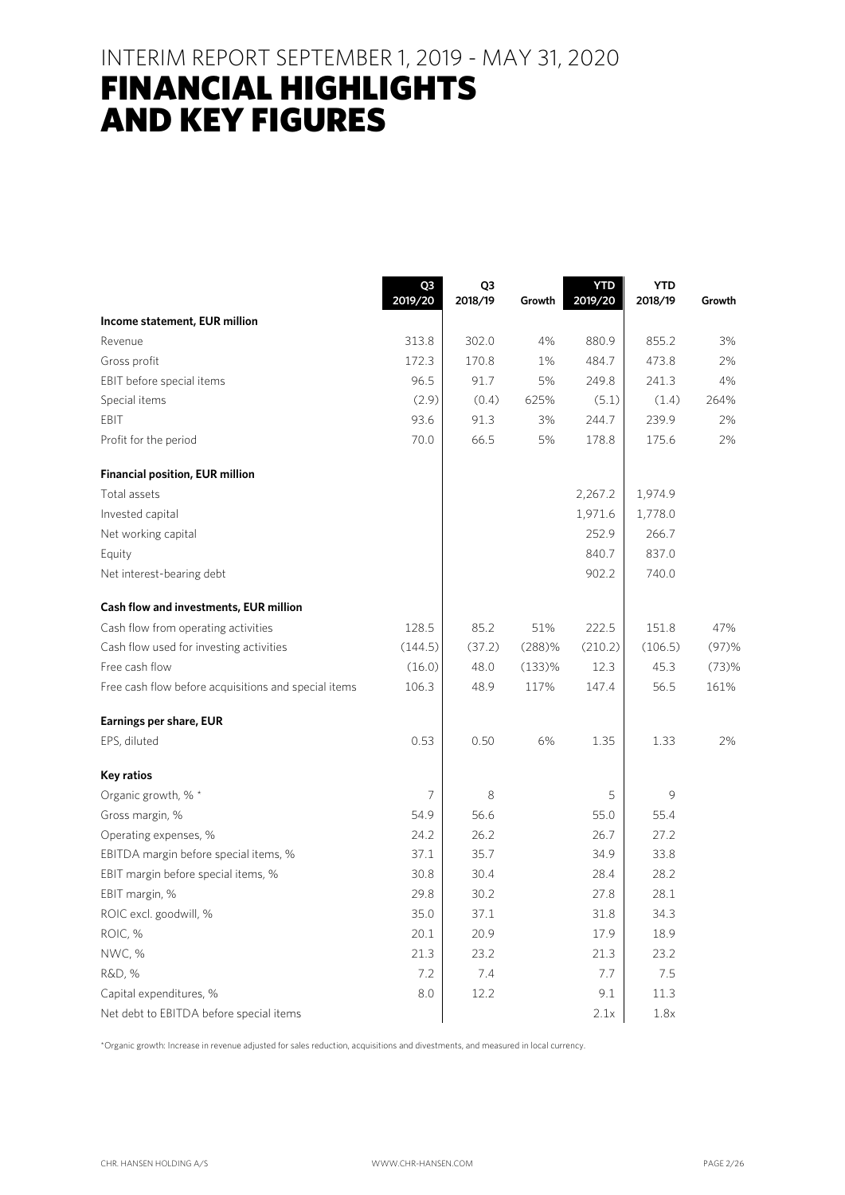### INTERIM REPORT SEPTEMBER 1, 2019 - MAY 31, 2020

### FINANCIAL HIGHLIGHTS AND KEY FIGURES

|                                                      | Q3<br>2019/20 | Q3<br>2018/19 | Growth | <b>YTD</b><br>2019/20 | <b>YTD</b><br>2018/19 | Growth   |
|------------------------------------------------------|---------------|---------------|--------|-----------------------|-----------------------|----------|
| Income statement, EUR million                        |               |               |        |                       |                       |          |
| Revenue                                              | 313.8         | 302.0         | 4%     | 880.9                 | 855.2                 | 3%       |
| Gross profit                                         | 172.3         | 170.8         | 1%     | 484.7                 | 473.8                 | 2%       |
| EBIT before special items                            | 96.5          | 91.7          | 5%     | 249.8                 | 241.3                 | 4%       |
| Special items                                        | (2.9)         | (0.4)         | 625%   | (5.1)                 | (1.4)                 | 264%     |
| EBIT                                                 | 93.6          | 91.3          | 3%     | 244.7                 | 239.9                 | 2%       |
| Profit for the period                                | 70.0          | 66.5          | 5%     | 178.8                 | 175.6                 | 2%       |
| <b>Financial position, EUR million</b>               |               |               |        |                       |                       |          |
| Total assets                                         |               |               |        | 2,267.2               | 1,974.9               |          |
| Invested capital                                     |               |               |        | 1,971.6               | 1,778.0               |          |
| Net working capital                                  |               |               |        | 252.9                 | 266.7                 |          |
| Equity                                               |               |               |        | 840.7                 | 837.0                 |          |
| Net interest-bearing debt                            |               |               |        | 902.2                 | 740.0                 |          |
| Cash flow and investments, EUR million               |               |               |        |                       |                       |          |
| Cash flow from operating activities                  | 128.5         | 85.2          | 51%    | 222.5                 | 151.8                 | 47%      |
| Cash flow used for investing activities              | (144.5)       | (37.2)        | (288)% | (210.2)               | (106.5)               | $(97)$ % |
| Free cash flow                                       | (16.0)        | 48.0          | (133)% | 12.3                  | 45.3                  | (73)%    |
| Free cash flow before acquisitions and special items | 106.3         | 48.9          | 117%   | 147.4                 | 56.5                  | 161%     |
| Earnings per share, EUR                              |               |               |        |                       |                       |          |
| EPS, diluted                                         | 0.53          | 0.50          | 6%     | 1.35                  | 1.33                  | 2%       |
| <b>Key ratios</b>                                    |               |               |        |                       |                       |          |
| Organic growth, % *                                  | 7             | 8             |        | 5                     | 9                     |          |
| Gross margin, %                                      | 54.9          | 56.6          |        | 55.0                  | 55.4                  |          |
| Operating expenses, %                                | 24.2          | 26.2          |        | 26.7                  | 27.2                  |          |
| EBITDA margin before special items, %                | 37.1          | 35.7          |        | 34.9                  | 33.8                  |          |
| EBIT margin before special items, %                  | 30.8          | 30.4          |        | 28.4                  | 28.2                  |          |
| EBIT margin, %                                       | 29.8          | 30.2          |        | 27.8                  | 28.1                  |          |
| ROIC excl. goodwill, %                               | 35.0          | 37.1          |        | 31.8                  | 34.3                  |          |
| ROIC, %                                              | 20.1          | 20.9          |        | 17.9                  | 18.9                  |          |
| NWC, %                                               | 21.3          | 23.2          |        | 21.3                  | 23.2                  |          |
| R&D, %                                               | 7.2           | 7.4           |        | 7.7                   | 7.5                   |          |
| Capital expenditures, %                              | 8.0           | 12.2          |        | 9.1                   | 11.3                  |          |
| Net debt to EBITDA before special items              |               |               |        | 2.1x                  | 1.8x                  |          |

\*Organic growth: Increase in revenue adjusted for sales reduction, acquisitions and divestments, and measured in local currency.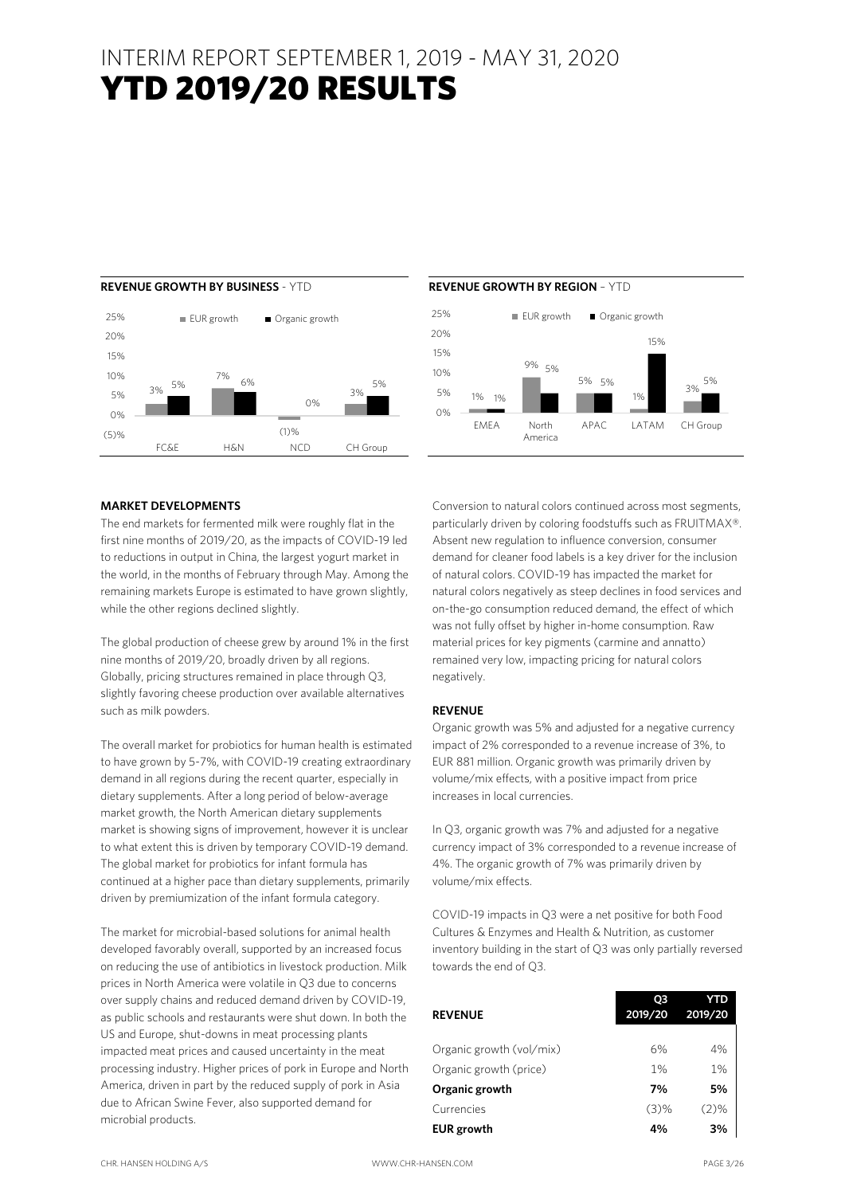

#### **REVENUE GROWTH BY BUSINESS** - YTD **REVENUE GROWTH BY REGION** – YTD



#### **MARKET DEVELOPMENTS**

The end markets for fermented milk were roughly flat in the first nine months of 2019/20, as the impacts of COVID-19 led to reductions in output in China, the largest yogurt market in the world, in the months of February through May. Among the remaining markets Europe is estimated to have grown slightly, while the other regions declined slightly.

The global production of cheese grew by around 1% in the first nine months of 2019/20, broadly driven by all regions. Globally, pricing structures remained in place through Q3, slightly favoring cheese production over available alternatives such as milk powders.

The overall market for probiotics for human health is estimated to have grown by 5-7%, with COVID-19 creating extraordinary demand in all regions during the recent quarter, especially in dietary supplements. After a long period of below-average market growth, the North American dietary supplements market is showing signs of improvement, however it is unclear to what extent this is driven by temporary COVID-19 demand. The global market for probiotics for infant formula has continued at a higher pace than dietary supplements, primarily driven by premiumization of the infant formula category.

The market for microbial-based solutions for animal health developed favorably overall, supported by an increased focus on reducing the use of antibiotics in livestock production. Milk prices in North America were volatile in Q3 due to concerns over supply chains and reduced demand driven by COVID-19, as public schools and restaurants were shut down. In both the US and Europe, shut-downs in meat processing plants impacted meat prices and caused uncertainty in the meat processing industry. Higher prices of pork in Europe and North America, driven in part by the reduced supply of pork in Asia due to African Swine Fever, also supported demand for microbial products.

Conversion to natural colors continued across most segments, particularly driven by coloring foodstuffs such as FRUITMAX®. Absent new regulation to influence conversion, consumer demand for cleaner food labels is a key driver for the inclusion of natural colors. COVID-19 has impacted the market for natural colors negatively as steep declines in food services and on-the-go consumption reduced demand, the effect of which was not fully offset by higher in-home consumption. Raw material prices for key pigments (carmine and annatto) remained very low, impacting pricing for natural colors negatively.

#### **REVENUE**

Organic growth was 5% and adjusted for a negative currency impact of 2% corresponded to a revenue increase of 3%, to EUR 881 million. Organic growth was primarily driven by volume/mix effects, with a positive impact from price increases in local currencies.

In Q3, organic growth was 7% and adjusted for a negative currency impact of 3% corresponded to a revenue increase of 4%. The organic growth of 7% was primarily driven by volume/mix effects.

COVID-19 impacts in Q3 were a net positive for both Food Cultures & Enzymes and Health & Nutrition, as customer inventory building in the start of Q3 was only partially reversed towards the end of Q3.

| <b>REVENUE</b>           | Ο3<br>2019/20 | YTD<br>2019/20 |
|--------------------------|---------------|----------------|
|                          |               |                |
| Organic growth (vol/mix) | 6%            | 4%             |
| Organic growth (price)   | 1%            | 1%             |
| Organic growth           | 7%            | 5%             |
| Currencies               | (3)%          | $(2)\%$        |
| <b>EUR</b> growth        | 4%            | 3%             |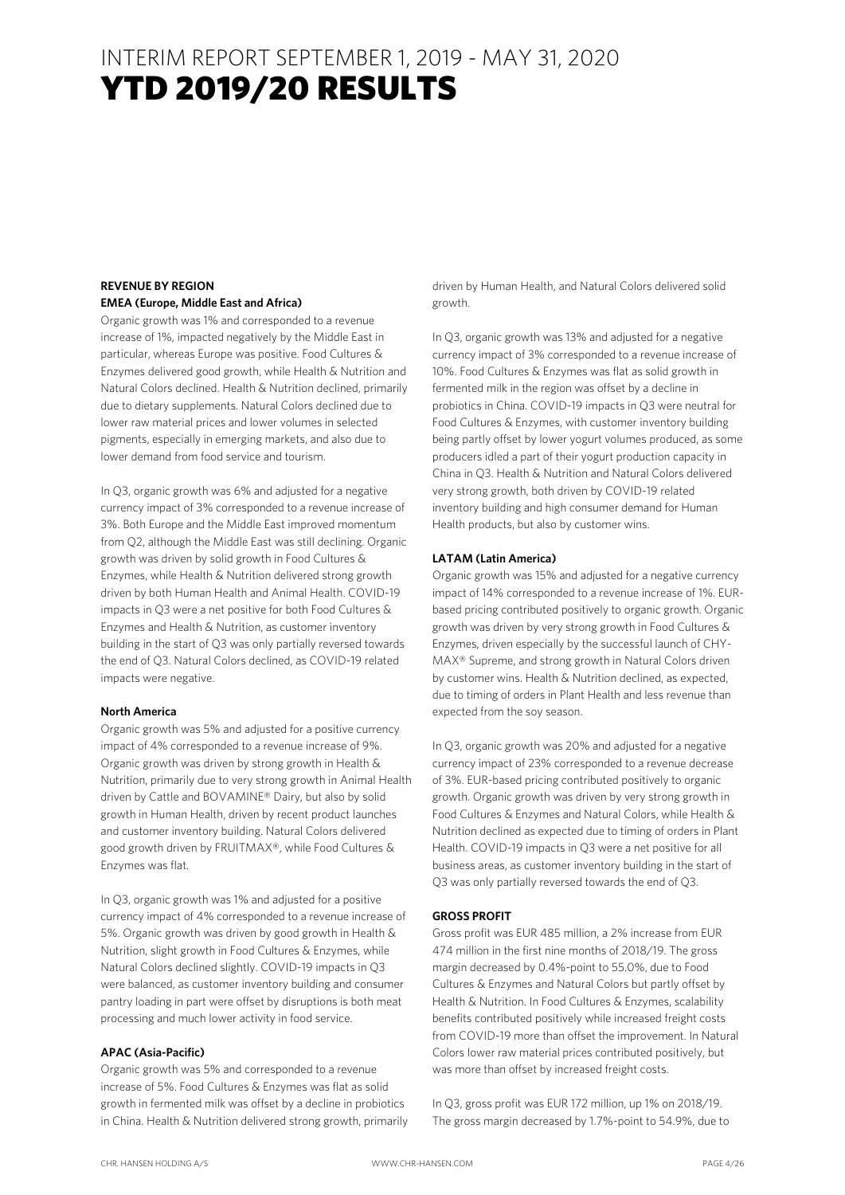#### **REVENUE BY REGION EMEA (Europe, Middle East and Africa)**

Organic growth was 1% and corresponded to a revenue increase of 1%, impacted negatively by the Middle East in particular, whereas Europe was positive. Food Cultures & Enzymes delivered good growth, while Health & Nutrition and Natural Colors declined. Health & Nutrition declined, primarily due to dietary supplements. Natural Colors declined due to lower raw material prices and lower volumes in selected pigments, especially in emerging markets, and also due to lower demand from food service and tourism.

In Q3, organic growth was 6% and adjusted for a negative currency impact of 3% corresponded to a revenue increase of 3%. Both Europe and the Middle East improved momentum from Q2, although the Middle East was still declining. Organic growth was driven by solid growth in Food Cultures & Enzymes, while Health & Nutrition delivered strong growth driven by both Human Health and Animal Health. COVID-19 impacts in Q3 were a net positive for both Food Cultures & Enzymes and Health & Nutrition, as customer inventory building in the start of Q3 was only partially reversed towards the end of Q3. Natural Colors declined, as COVID-19 related impacts were negative.

#### **North America**

Organic growth was 5% and adjusted for a positive currency impact of 4% corresponded to a revenue increase of 9%. Organic growth was driven by strong growth in Health & Nutrition, primarily due to very strong growth in Animal Health driven by Cattle and BOVAMINE® Dairy, but also by solid growth in Human Health, driven by recent product launches and customer inventory building. Natural Colors delivered good growth driven by FRUITMAX®, while Food Cultures & Enzymes was flat.

In Q3, organic growth was 1% and adjusted for a positive currency impact of 4% corresponded to a revenue increase of 5%. Organic growth was driven by good growth in Health & Nutrition, slight growth in Food Cultures & Enzymes, while Natural Colors declined slightly. COVID-19 impacts in Q3 were balanced, as customer inventory building and consumer pantry loading in part were offset by disruptions is both meat processing and much lower activity in food service.

#### **APAC (Asia-Pacific)**

Organic growth was 5% and corresponded to a revenue increase of 5%. Food Cultures & Enzymes was flat as solid growth in fermented milk was offset by a decline in probiotics in China. Health & Nutrition delivered strong growth, primarily

driven by Human Health, and Natural Colors delivered solid growth.

In Q3, organic growth was 13% and adjusted for a negative currency impact of 3% corresponded to a revenue increase of 10%. Food Cultures & Enzymes was flat as solid growth in fermented milk in the region was offset by a decline in probiotics in China. COVID-19 impacts in Q3 were neutral for Food Cultures & Enzymes, with customer inventory building being partly offset by lower yogurt volumes produced, as some producers idled a part of their yogurt production capacity in China in Q3. Health & Nutrition and Natural Colors delivered very strong growth, both driven by COVID-19 related inventory building and high consumer demand for Human Health products, but also by customer wins.

#### **LATAM (Latin America)**

Organic growth was 15% and adjusted for a negative currency impact of 14% corresponded to a revenue increase of 1%. EURbased pricing contributed positively to organic growth. Organic growth was driven by very strong growth in Food Cultures & Enzymes, driven especially by the successful launch of CHY-MAX® Supreme, and strong growth in Natural Colors driven by customer wins. Health & Nutrition declined, as expected, due to timing of orders in Plant Health and less revenue than expected from the soy season.

In Q3, organic growth was 20% and adjusted for a negative currency impact of 23% corresponded to a revenue decrease of 3%. EUR-based pricing contributed positively to organic growth. Organic growth was driven by very strong growth in Food Cultures & Enzymes and Natural Colors, while Health & Nutrition declined as expected due to timing of orders in Plant Health. COVID-19 impacts in Q3 were a net positive for all business areas, as customer inventory building in the start of Q3 was only partially reversed towards the end of Q3.

#### **GROSS PROFIT**

Gross profit was EUR 485 million, a 2% increase from EUR 474 million in the first nine months of 2018/19. The gross margin decreased by 0.4%-point to 55.0%, due to Food Cultures & Enzymes and Natural Colors but partly offset by Health & Nutrition. In Food Cultures & Enzymes, scalability benefits contributed positively while increased freight costs from COVID-19 more than offset the improvement. In Natural Colors lower raw material prices contributed positively, but was more than offset by increased freight costs.

In Q3, gross profit was EUR 172 million, up 1% on 2018/19. The gross margin decreased by 1.7%-point to 54.9%, due to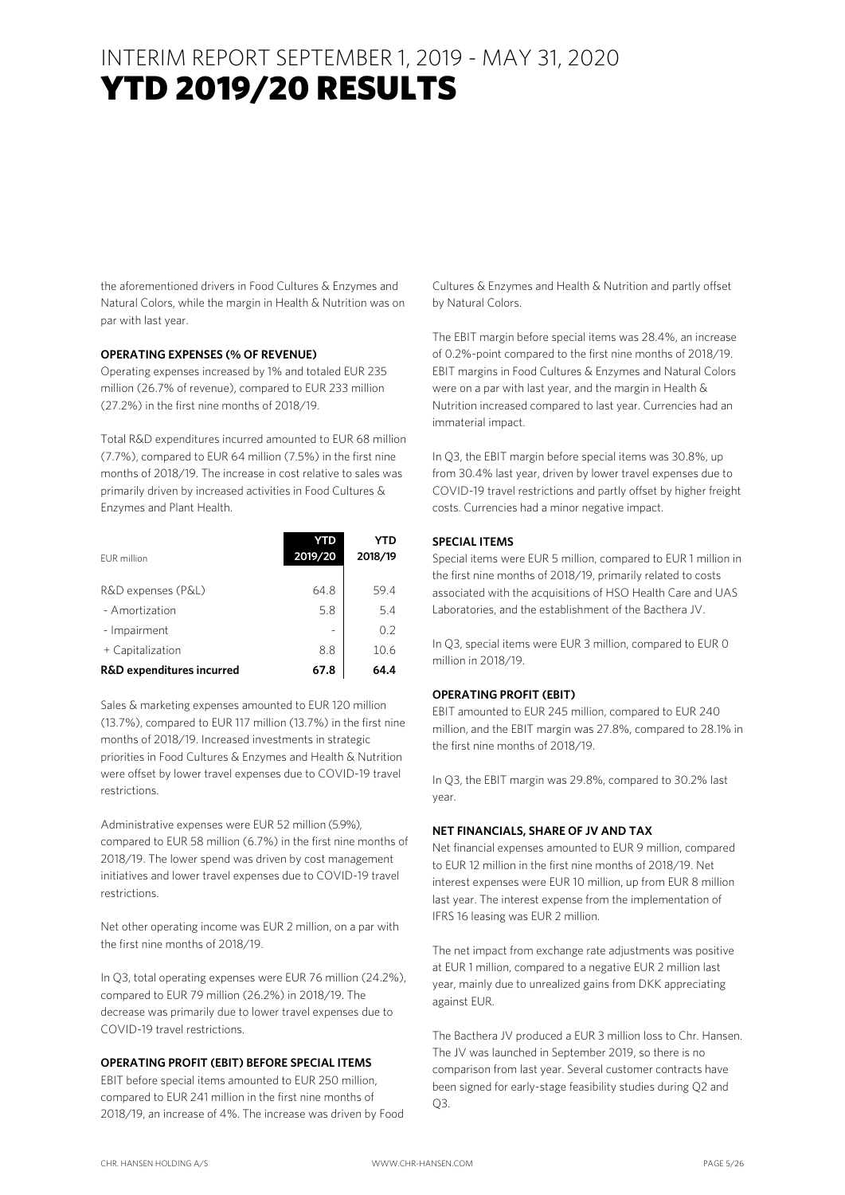the aforementioned drivers in Food Cultures & Enzymes and Natural Colors, while the margin in Health & Nutrition was on par with last year.

#### **OPERATING EXPENSES (% OF REVENUE)**

Operating expenses increased by 1% and totaled EUR 235 million (26.7% of revenue), compared to EUR 233 million (27.2%) in the first nine months of 2018/19.

Total R&D expenditures incurred amounted to EUR 68 million (7.7%), compared to EUR 64 million (7.5%) in the first nine months of 2018/19. The increase in cost relative to sales was primarily driven by increased activities in Food Cultures & Enzymes and Plant Health.

| FUR million                          | 2019/20 | YTD<br>2018/19 |
|--------------------------------------|---------|----------------|
| R&D expenses (P&L)                   | 64.8    | 59.4           |
| - Amortization                       | 5.8     | 5.4            |
| - Impairment                         |         | 0.2            |
| + Capitalization                     | 8.8     | 10.6           |
| <b>R&amp;D</b> expenditures incurred | 67.8    | 64.4           |

Sales & marketing expenses amounted to EUR 120 million (13.7%), compared to EUR 117 million (13.7%) in the first nine months of 2018/19. Increased investments in strategic priorities in Food Cultures & Enzymes and Health & Nutrition were offset by lower travel expenses due to COVID-19 travel restrictions.

Administrative expenses were EUR 52 million (5.9%), compared to EUR 58 million (6.7%) in the first nine months of 2018/19. The lower spend was driven by cost management initiatives and lower travel expenses due to COVID-19 travel restrictions.

Net other operating income was EUR 2 million, on a par with the first nine months of 2018/19.

In Q3, total operating expenses were EUR 76 million (24.2%), compared to EUR 79 million (26.2%) in 2018/19. The decrease was primarily due to lower travel expenses due to COVID-19 travel restrictions.

#### **OPERATING PROFIT (EBIT) BEFORE SPECIAL ITEMS**

EBIT before special items amounted to EUR 250 million, compared to EUR 241 million in the first nine months of 2018/19, an increase of 4%. The increase was driven by Food

Cultures & Enzymes and Health & Nutrition and partly offset by Natural Colors.

The EBIT margin before special items was 28.4%, an increase of 0.2%-point compared to the first nine months of 2018/19. EBIT margins in Food Cultures & Enzymes and Natural Colors were on a par with last year, and the margin in Health & Nutrition increased compared to last year. Currencies had an immaterial impact.

In Q3, the EBIT margin before special items was 30.8%, up from 30.4% last year, driven by lower travel expenses due to COVID-19 travel restrictions and partly offset by higher freight costs. Currencies had a minor negative impact.

#### **SPECIAL ITEMS**

Special items were EUR 5 million, compared to EUR 1 million in the first nine months of 2018/19, primarily related to costs associated with the acquisitions of HSO Health Care and UAS Laboratories, and the establishment of the Bacthera JV.

In Q3, special items were EUR 3 million, compared to EUR 0 million in 2018/19.

#### **OPERATING PROFIT (EBIT)**

EBIT amounted to EUR 245 million, compared to EUR 240 million, and the EBIT margin was 27.8%, compared to 28.1% in the first nine months of 2018/19.

In Q3, the EBIT margin was 29.8%, compared to 30.2% last year.

#### **NET FINANCIALS, SHARE OF JV AND TAX**

Net financial expenses amounted to EUR 9 million, compared to EUR 12 million in the first nine months of 2018/19. Net interest expenses were EUR 10 million, up from EUR 8 million last year. The interest expense from the implementation of IFRS 16 leasing was EUR 2 million.

The net impact from exchange rate adjustments was positive at EUR 1 million, compared to a negative EUR 2 million last year, mainly due to unrealized gains from DKK appreciating against EUR.

The Bacthera JV produced a EUR 3 million loss to Chr. Hansen. The JV was launched in September 2019, so there is no comparison from last year. Several customer contracts have been signed for early-stage feasibility studies during Q2 and Q3.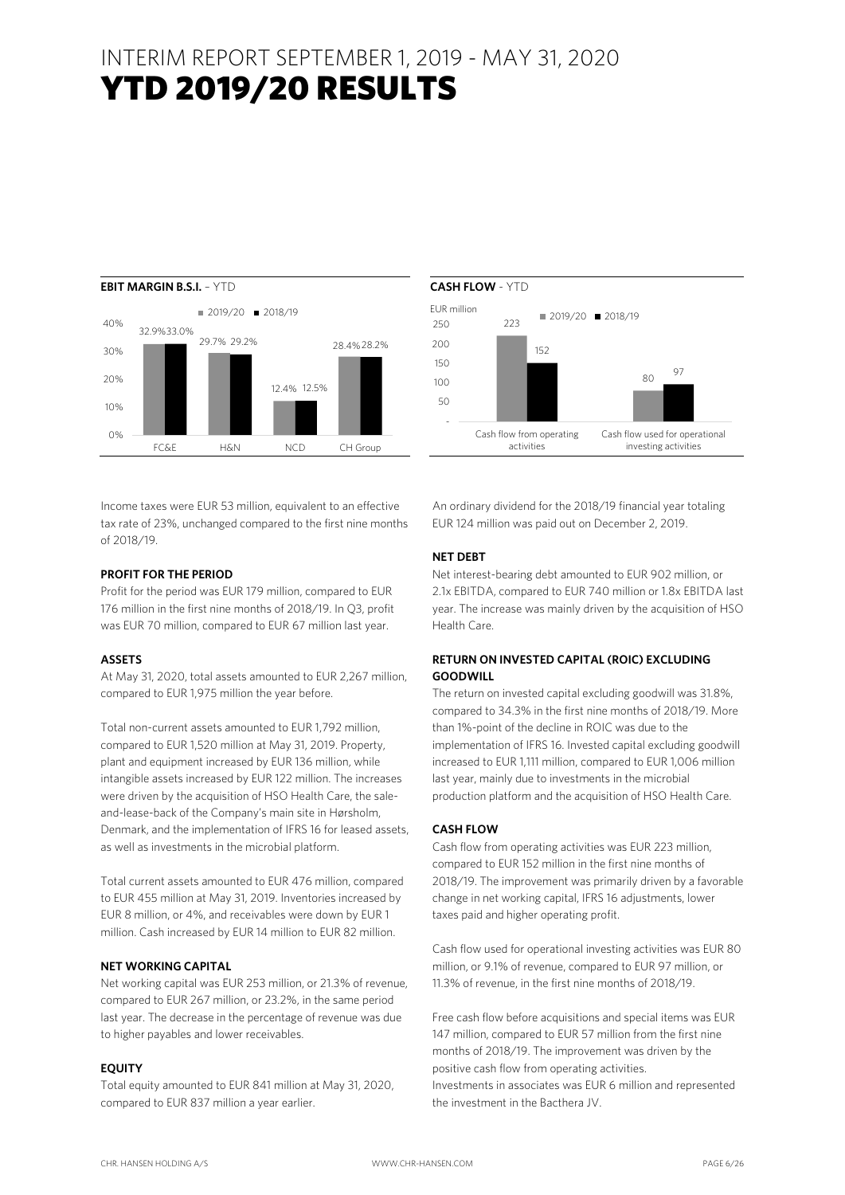

Income taxes were EUR 53 million, equivalent to an effective tax rate of 23%, unchanged compared to the first nine months of 2018/19.

#### **PROFIT FOR THE PERIOD**

Profit for the period was EUR 179 million, compared to EUR 176 million in the first nine months of 2018/19. In Q3, profit was EUR 70 million, compared to EUR 67 million last year.

#### **ASSETS**

At May 31, 2020, total assets amounted to EUR 2,267 million, compared to EUR 1,975 million the year before.

Total non-current assets amounted to EUR 1,792 million, compared to EUR 1,520 million at May 31, 2019. Property, plant and equipment increased by EUR 136 million, while intangible assets increased by EUR 122 million. The increases were driven by the acquisition of HSO Health Care, the saleand-lease-back of the Company's main site in Hørsholm, Denmark, and the implementation of IFRS 16 for leased assets, as well as investments in the microbial platform.

Total current assets amounted to EUR 476 million, compared to EUR 455 million at May 31, 2019. Inventories increased by EUR 8 million, or 4%, and receivables were down by EUR 1 million. Cash increased by EUR 14 million to EUR 82 million.

#### **NET WORKING CAPITAL**

Net working capital was EUR 253 million, or 21.3% of revenue, compared to EUR 267 million, or 23.2%, in the same period last year. The decrease in the percentage of revenue was due to higher payables and lower receivables.

#### **EQUITY**

Total equity amounted to EUR 841 million at May 31, 2020, compared to EUR 837 million a year earlier.



An ordinary dividend for the 2018/19 financial year totaling EUR 124 million was paid out on December 2, 2019.

#### **NET DEBT**

Net interest-bearing debt amounted to EUR 902 million, or 2.1x EBITDA, compared to EUR 740 million or 1.8x EBITDA last year. The increase was mainly driven by the acquisition of HSO Health Care.

#### **RETURN ON INVESTED CAPITAL (ROIC) EXCLUDING GOODWILL**

The return on invested capital excluding goodwill was 31.8%, compared to 34.3% in the first nine months of 2018/19. More than 1%-point of the decline in ROIC was due to the implementation of IFRS 16. Invested capital excluding goodwill increased to EUR 1,111 million, compared to EUR 1,006 million last year, mainly due to investments in the microbial production platform and the acquisition of HSO Health Care.

#### **CASH FLOW**

Cash flow from operating activities was EUR 223 million, compared to EUR 152 million in the first nine months of 2018/19. The improvement was primarily driven by a favorable change in net working capital, IFRS 16 adjustments, lower taxes paid and higher operating profit.

Cash flow used for operational investing activities was EUR 80 million, or 9.1% of revenue, compared to EUR 97 million, or 11.3% of revenue, in the first nine months of 2018/19.

Free cash flow before acquisitions and special items was EUR 147 million, compared to EUR 57 million from the first nine months of 2018/19. The improvement was driven by the positive cash flow from operating activities. Investments in associates was EUR 6 million and represented the investment in the Bacthera JV.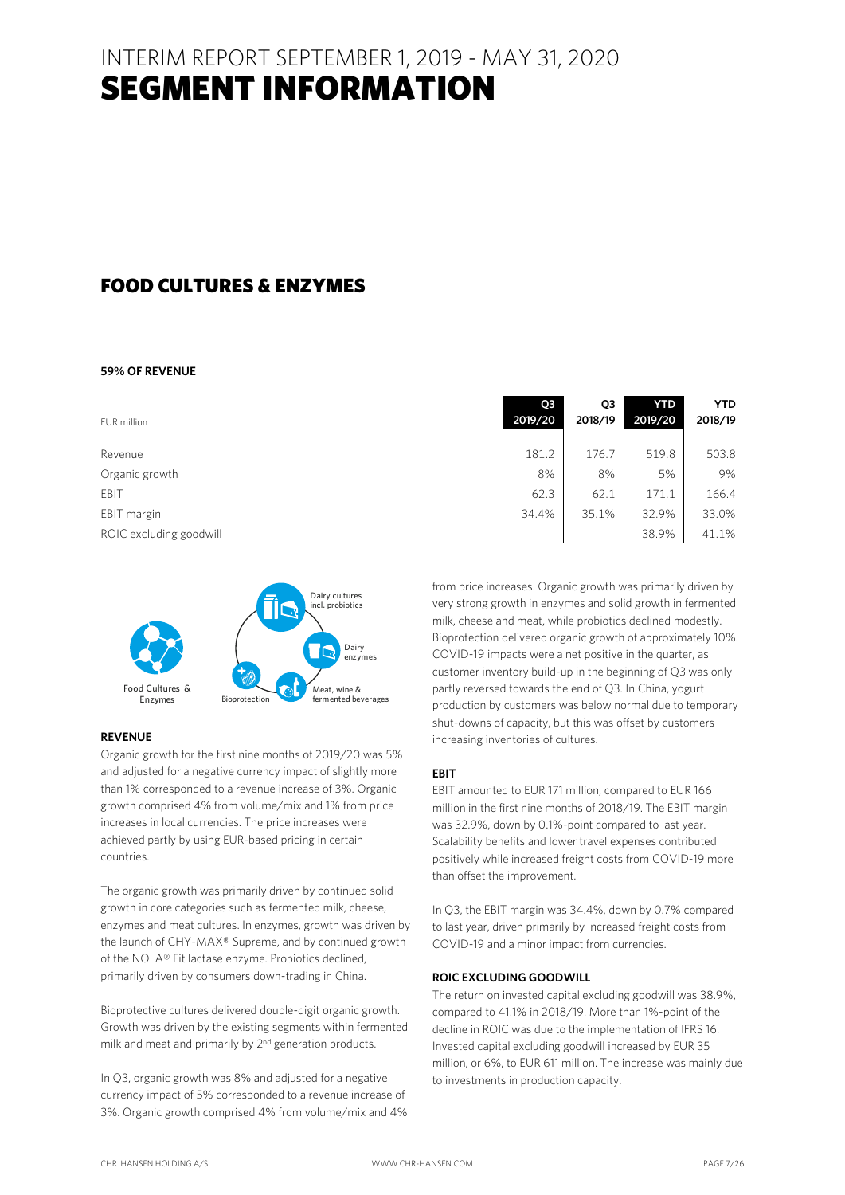### FOOD CULTURES & ENZYMES

#### **59% OF REVENUE**

| EUR million             | Q <sub>3</sub><br>2019/20 | Q3<br>2018/19 | <b>YTD</b><br>2019/20 | <b>YTD</b><br>2018/19 |
|-------------------------|---------------------------|---------------|-----------------------|-----------------------|
| Revenue                 | 181.2                     | 176.7         | 519.8                 | 503.8                 |
| Organic growth          | 8%                        | 8%            | 5%                    | 9%                    |
| EBIT                    | 62.3                      | 62.1          | 171.1                 | 166.4                 |
| EBIT margin             | 34.4%                     | 35.1%         | 32.9%                 | 33.0%                 |
| ROIC excluding goodwill |                           |               | 38.9%                 | 41.1%                 |



#### **REVENUE**

Organic growth for the first nine months of 2019/20 was 5% and adjusted for a negative currency impact of slightly more than 1% corresponded to a revenue increase of 3%. Organic growth comprised 4% from volume/mix and 1% from price increases in local currencies. The price increases were achieved partly by using EUR-based pricing in certain countries.

The organic growth was primarily driven by continued solid growth in core categories such as fermented milk, cheese, enzymes and meat cultures. In enzymes, growth was driven by the launch of CHY-MAX® Supreme, and by continued growth of the NOLA® Fit lactase enzyme. Probiotics declined, primarily driven by consumers down-trading in China.

Bioprotective cultures delivered double-digit organic growth. Growth was driven by the existing segments within fermented milk and meat and primarily by 2<sup>nd</sup> generation products.

In Q3, organic growth was 8% and adjusted for a negative currency impact of 5% corresponded to a revenue increase of 3%. Organic growth comprised 4% from volume/mix and 4%

| 8%                                                           | 8%    | 5%    | 9%    |  |  |
|--------------------------------------------------------------|-------|-------|-------|--|--|
| 62.3                                                         | 62.1  | 171.1 | 166.4 |  |  |
| 34.4%                                                        | 35.1% | 32.9% | 33.0% |  |  |
|                                                              |       | 38.9% | 41.1% |  |  |
|                                                              |       |       |       |  |  |
|                                                              |       |       |       |  |  |
| from price increases. Organic growth was primarily driven by |       |       |       |  |  |
| very strong growth in enzymes and solid growth in fermented  |       |       |       |  |  |
| milk, cheese and meat, while probiotics declined modestly.   |       |       |       |  |  |
| Bioprotection delivered organic growth of approximately 10%. |       |       |       |  |  |
| COVID-19 impacts were a net positive in the quarter, as      |       |       |       |  |  |

Bioprotection delivered organic growth of approximately 10%. COVID-19 impacts were a net positive in the quarter, as customer inventory build-up in the beginning of Q3 was only partly reversed towards the end of Q3. In China, yogurt production by customers was below normal due to temporary shut-downs of capacity, but this was offset by customers increasing inventories of cultures.

#### **EBIT**

EBIT amounted to EUR 171 million, compared to EUR 166 million in the first nine months of 2018/19. The EBIT margin was 32.9%, down by 0.1%-point compared to last year. Scalability benefits and lower travel expenses contributed positively while increased freight costs from COVID-19 more than offset the improvement.

In Q3, the EBIT margin was 34.4%, down by 0.7% compared to last year, driven primarily by increased freight costs from COVID-19 and a minor impact from currencies.

#### **ROIC EXCLUDING GOODWILL**

The return on invested capital excluding goodwill was 38.9%, compared to 41.1% in 2018/19. More than 1%-point of the decline in ROIC was due to the implementation of IFRS 16. Invested capital excluding goodwill increased by EUR 35 million, or 6%, to EUR 611 million. The increase was mainly due to investments in production capacity.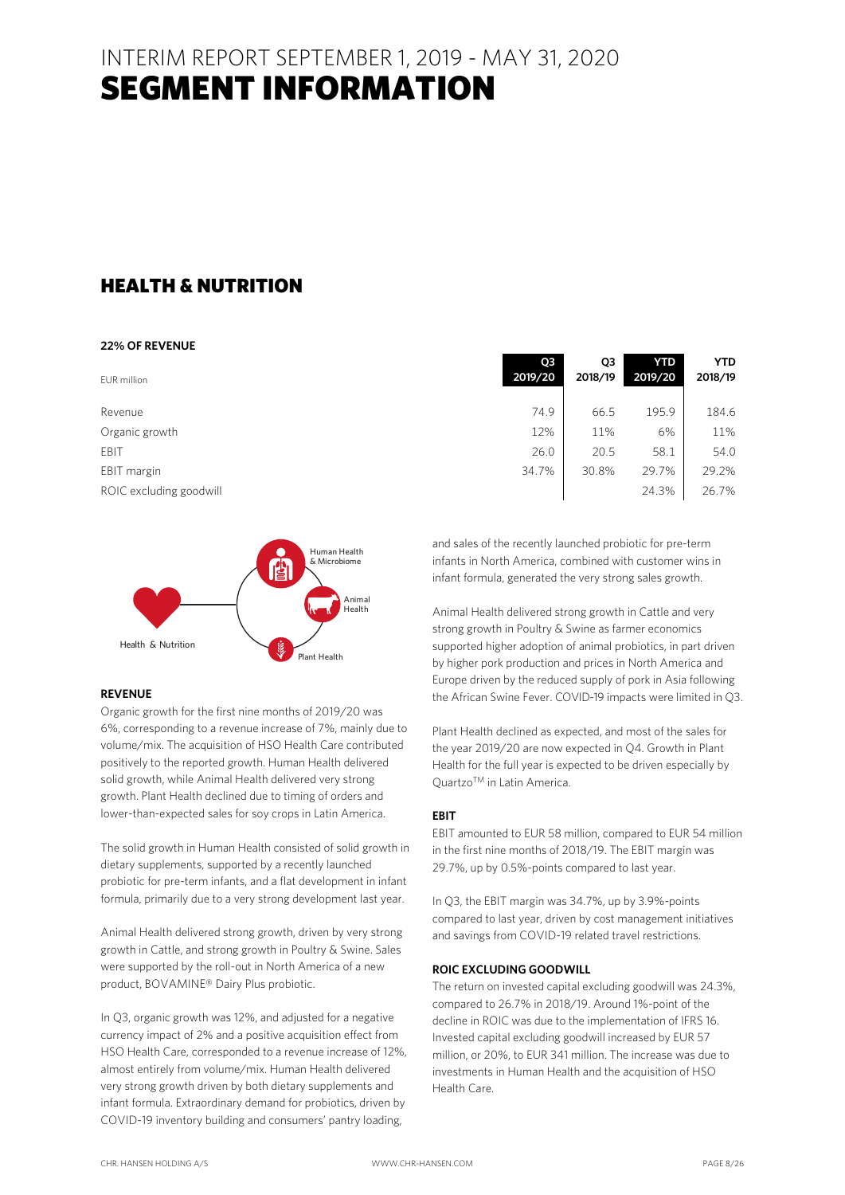### HEALTH & NUTRITION

#### **22% OF REVENUE**

| EUR million             | Q <sub>3</sub><br>2019/20 | Q3<br>2018/19 | <b>YTD</b><br>2019/20 | <b>YTD</b><br>2018/19 |
|-------------------------|---------------------------|---------------|-----------------------|-----------------------|
| Revenue                 | 74.9                      | 66.5          | 195.9                 | 184.6                 |
| Organic growth          | 12%                       | 11%           | 6%                    | 11%                   |
| EBIT                    | 26.0                      | 20.5          | 58.1                  | 54.0                  |
| EBIT margin             | 34.7%                     | 30.8%         | 29.7%                 | 29.2%                 |
| ROIC excluding goodwill |                           |               | 24.3%                 | 26.7%                 |



#### **REVENUE**

Organic growth for the first nine months of 2019/20 was 6%, corresponding to a revenue increase of 7%, mainly due to volume/mix. The acquisition of HSO Health Care contributed positively to the reported growth. Human Health delivered solid growth, while Animal Health delivered very strong growth. Plant Health declined due to timing of orders and lower-than-expected sales for soy crops in Latin America.

The solid growth in Human Health consisted of solid growth in dietary supplements, supported by a recently launched probiotic for pre-term infants, and a flat development in infant formula, primarily due to a very strong development last year.

Animal Health delivered strong growth, driven by very strong growth in Cattle, and strong growth in Poultry & Swine. Sales were supported by the roll-out in North America of a new product, BOVAMINE® Dairy Plus probiotic.

In Q3, organic growth was 12%, and adjusted for a negative currency impact of 2% and a positive acquisition effect from HSO Health Care, corresponded to a revenue increase of 12%, almost entirely from volume/mix. Human Health delivered very strong growth driven by both dietary supplements and infant formula. Extraordinary demand for probiotics, driven by COVID-19 inventory building and consumers' pantry loading,

| OЗ<br>2019/20 | O3<br>2018/19 | YID<br>2019/20 | YID<br>2018/19 |
|---------------|---------------|----------------|----------------|
| 74.9          | 66.5          | 195.9          | 184.6          |
| 12%           | 11%           | 6%             | 11%            |
| 26.0          | 20.5          | 58.1           | 54.0           |
| 34.7%         | 30.8%         | 29.7%          | 29.2%          |
|               |               | 24.3%          | 26.7%          |

and sales of the recently launched probiotic for pre-term infants in North America, combined with customer wins in infant formula, generated the very strong sales growth.

Animal Health delivered strong growth in Cattle and very strong growth in Poultry & Swine as farmer economics supported higher adoption of animal probiotics, in part driven by higher pork production and prices in North America and Europe driven by the reduced supply of pork in Asia following the African Swine Fever. COVID-19 impacts were limited in Q3.

Plant Health declined as expected, and most of the sales for the year 2019/20 are now expected in Q4. Growth in Plant Health for the full year is expected to be driven especially by QuartzoTM in Latin America.

#### **EBIT**

EBIT amounted to EUR 58 million, compared to EUR 54 million in the first nine months of 2018/19. The EBIT margin was 29.7%, up by 0.5%-points compared to last year.

In Q3, the EBIT margin was 34.7%, up by 3.9%-points compared to last year, driven by cost management initiatives and savings from COVID-19 related travel restrictions.

#### **ROIC EXCLUDING GOODWILL**

The return on invested capital excluding goodwill was 24.3%, compared to 26.7% in 2018/19. Around 1%-point of the decline in ROIC was due to the implementation of IFRS 16. Invested capital excluding goodwill increased by EUR 57 million, or 20%, to EUR 341 million. The increase was due to investments in Human Health and the acquisition of HSO Health Care.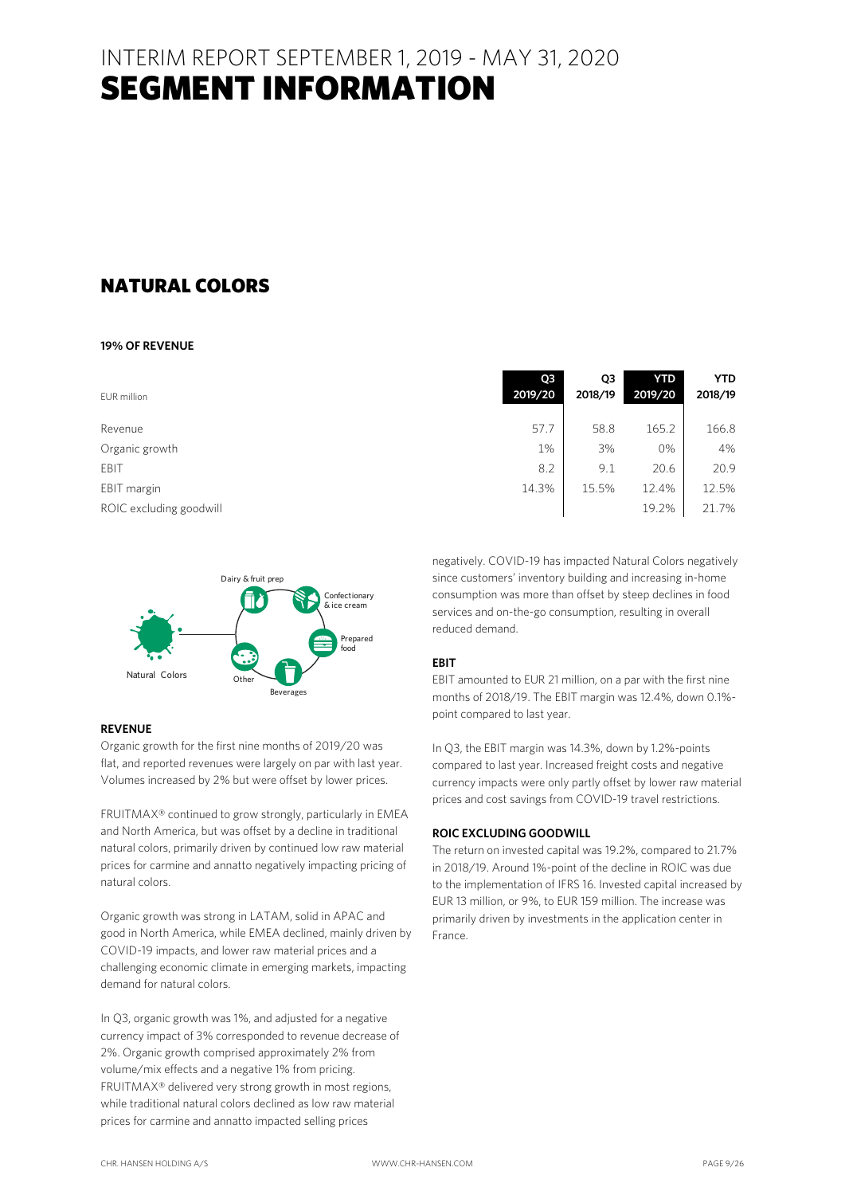### NATURAL COLORS

#### **19% OF REVENUE**

| EUR million             | Q <sub>3</sub><br>2019/20 | Q3<br>2018/19 | <b>YTD</b><br>2019/20 | <b>YTD</b><br>2018/19 |
|-------------------------|---------------------------|---------------|-----------------------|-----------------------|
| Revenue                 | 57.7                      | 58.8          | 165.2                 | 166.8                 |
| Organic growth          | 1%                        | 3%            | 0%                    | 4%                    |
| EBIT                    | 8.2                       | 9.1           | 20.6                  | 20.9                  |
| EBIT margin             | 14.3%                     | 15.5%         | 12.4%                 | 12.5%                 |
| ROIC excluding goodwill |                           |               | 19.2%                 | 21.7%                 |



#### **REVENUE**

Organic growth for the first nine months of 2019/20 was flat, and reported revenues were largely on par with last year. Volumes increased by 2% but were offset by lower prices.

FRUITMAX® continued to grow strongly, particularly in EMEA and North America, but was offset by a decline in traditional natural colors, primarily driven by continued low raw material prices for carmine and annatto negatively impacting pricing of natural colors.

Organic growth was strong in LATAM, solid in APAC and good in North America, while EMEA declined, mainly driven by COVID-19 impacts, and lower raw material prices and a challenging economic climate in emerging markets, impacting demand for natural colors.

In Q3, organic growth was 1%, and adjusted for a negative currency impact of 3% corresponded to revenue decrease of 2%. Organic growth comprised approximately 2% from volume/mix effects and a negative 1% from pricing. FRUITMAX® delivered very strong growth in most regions, while traditional natural colors declined as low raw material prices for carmine and annatto impacted selling prices

| OЗ<br>2019/20 | O3<br>2018/19 | YID<br>2019/20 | YID<br>2018/19 |
|---------------|---------------|----------------|----------------|
| 57.7          | 58.8          | 165.2          | 166.8          |
| 1%            | 3%            | 0%             | 4%             |
| 8.2           | 9.1           | 20.6           | 20.9           |
| 14.3%         | 15.5%         | 12.4%          | 12.5%          |
|               |               | 19.2%          | 21.7%          |

negatively. COVID-19 has impacted Natural Colors negatively since customers' inventory building and increasing in-home consumption was more than offset by steep declines in food services and on-the-go consumption, resulting in overall reduced demand.

#### **EBIT**

EBIT amounted to EUR 21 million, on a par with the first nine months of 2018/19. The EBIT margin was 12.4%, down 0.1% point compared to last year.

In Q3, the EBIT margin was 14.3%, down by 1.2%-points compared to last year. Increased freight costs and negative currency impacts were only partly offset by lower raw material prices and cost savings from COVID-19 travel restrictions.

#### **ROIC EXCLUDING GOODWILL**

The return on invested capital was 19.2%, compared to 21.7% in 2018/19. Around 1%-point of the decline in ROIC was due to the implementation of IFRS 16. Invested capital increased by EUR 13 million, or 9%, to EUR 159 million. The increase was primarily driven by investments in the application center in France.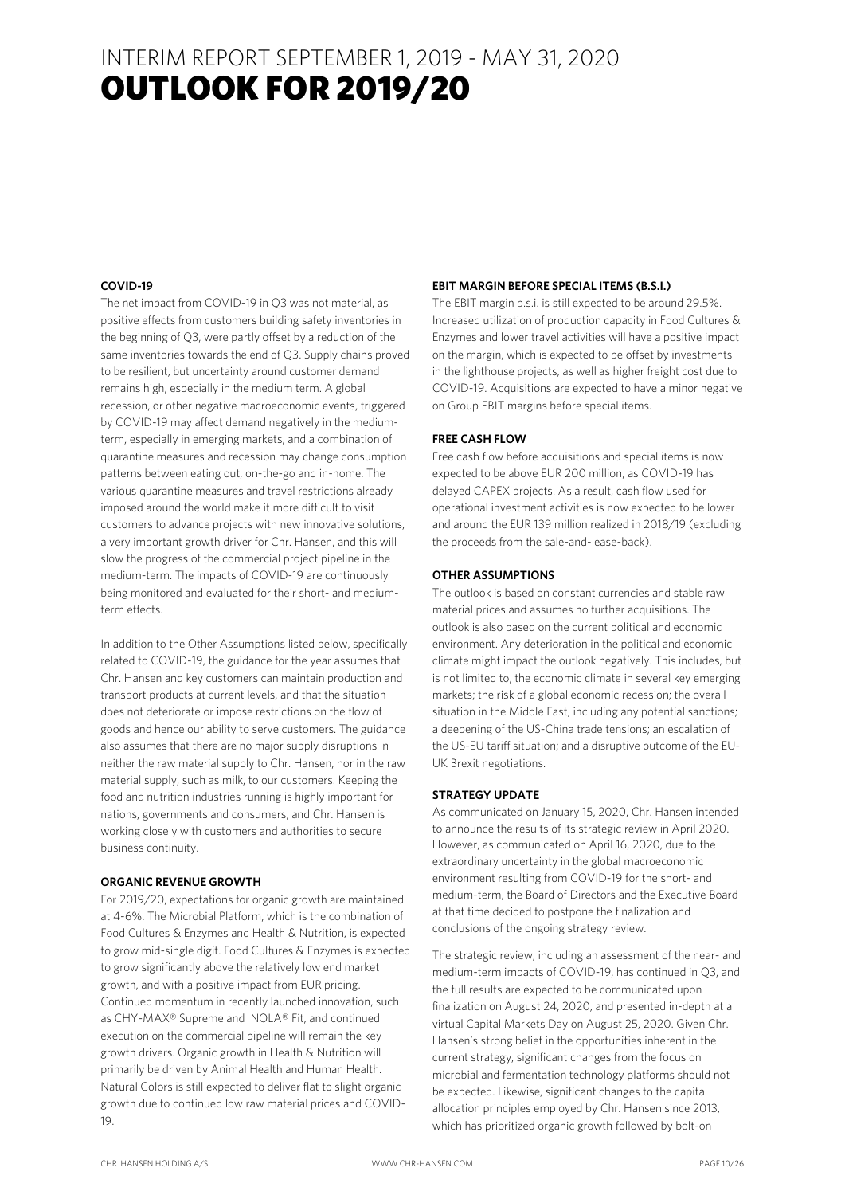### INTERIM REPORT SEPTEMBER 1, 2019 - MAY 31, 2020 **OUTLOOK FOR 2019/20**

#### **COVID-19**

The net impact from COVID-19 in Q3 was not material, as positive effects from customers building safety inventories in the beginning of Q3, were partly offset by a reduction of the same inventories towards the end of Q3. Supply chains proved to be resilient, but uncertainty around customer demand remains high, especially in the medium term. A global recession, or other negative macroeconomic events, triggered by COVID-19 may affect demand negatively in the mediumterm, especially in emerging markets, and a combination of quarantine measures and recession may change consumption patterns between eating out, on-the-go and in-home. The various quarantine measures and travel restrictions already imposed around the world make it more difficult to visit customers to advance projects with new innovative solutions, a very important growth driver for Chr. Hansen, and this will slow the progress of the commercial project pipeline in the medium-term. The impacts of COVID-19 are continuously being monitored and evaluated for their short- and mediumterm effects.

In addition to the Other Assumptions listed below, specifically related to COVID-19, the guidance for the year assumes that Chr. Hansen and key customers can maintain production and transport products at current levels, and that the situation does not deteriorate or impose restrictions on the flow of goods and hence our ability to serve customers. The guidance also assumes that there are no major supply disruptions in neither the raw material supply to Chr. Hansen, nor in the raw material supply, such as milk, to our customers. Keeping the food and nutrition industries running is highly important for nations, governments and consumers, and Chr. Hansen is working closely with customers and authorities to secure business continuity.

#### **ORGANIC REVENUE GROWTH**

For 2019/20, expectations for organic growth are maintained at 4-6%. The Microbial Platform, which is the combination of Food Cultures & Enzymes and Health & Nutrition, is expected to grow mid-single digit. Food Cultures & Enzymes is expected to grow significantly above the relatively low end market growth, and with a positive impact from EUR pricing. Continued momentum in recently launched innovation, such as CHY-MAX® Supreme and NOLA® Fit, and continued execution on the commercial pipeline will remain the key growth drivers. Organic growth in Health & Nutrition will primarily be driven by Animal Health and Human Health. Natural Colors is still expected to deliver flat to slight organic growth due to continued low raw material prices and COVID-19.

#### **EBIT MARGIN BEFORE SPECIAL ITEMS (B.S.I.)**

The EBIT margin b.s.i. is still expected to be around 29.5%. Increased utilization of production capacity in Food Cultures & Enzymes and lower travel activities will have a positive impact on the margin, which is expected to be offset by investments in the lighthouse projects, as well as higher freight cost due to COVID-19. Acquisitions are expected to have a minor negative on Group EBIT margins before special items.

#### **FREE CASH FLOW**

Free cash flow before acquisitions and special items is now expected to be above EUR 200 million, as COVID-19 has delayed CAPEX projects. As a result, cash flow used for operational investment activities is now expected to be lower and around the EUR 139 million realized in 2018/19 (excluding the proceeds from the sale-and-lease-back).

#### **OTHER ASSUMPTIONS**

The outlook is based on constant currencies and stable raw material prices and assumes no further acquisitions. The outlook is also based on the current political and economic environment. Any deterioration in the political and economic climate might impact the outlook negatively. This includes, but is not limited to, the economic climate in several key emerging markets; the risk of a global economic recession; the overall situation in the Middle East, including any potential sanctions; a deepening of the US-China trade tensions; an escalation of the US-EU tariff situation; and a disruptive outcome of the EU-UK Brexit negotiations.

#### **STRATEGY UPDATE**

As communicated on January 15, 2020, Chr. Hansen intended to announce the results of its strategic review in April 2020. However, as communicated on April 16, 2020, due to the extraordinary uncertainty in the global macroeconomic environment resulting from COVID-19 for the short- and medium-term, the Board of Directors and the Executive Board at that time decided to postpone the finalization and conclusions of the ongoing strategy review.

The strategic review, including an assessment of the near- and medium-term impacts of COVID-19, has continued in Q3, and the full results are expected to be communicated upon finalization on August 24, 2020, and presented in-depth at a virtual Capital Markets Day on August 25, 2020. Given Chr. Hansen's strong belief in the opportunities inherent in the current strategy, significant changes from the focus on microbial and fermentation technology platforms should not be expected. Likewise, significant changes to the capital allocation principles employed by Chr. Hansen since 2013, which has prioritized organic growth followed by bolt-on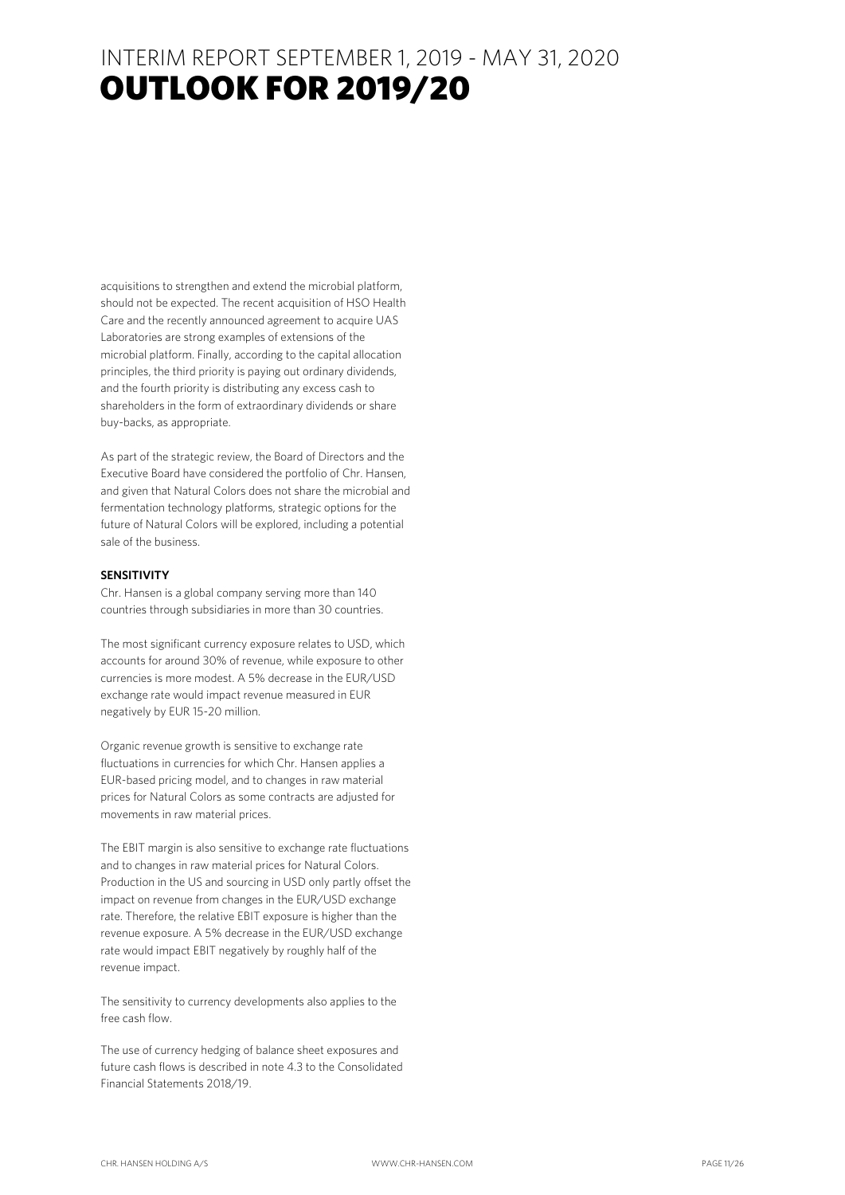acquisitions to strengthen and extend the microbial platform, should not be expected. The recent acquisition of HSO Health Care and the recently announced agreement to acquire UAS Laboratories are strong examples of extensions of the microbial platform. Finally, according to the capital allocation principles, the third priority is paying out ordinary dividends, and the fourth priority is distributing any excess cash to shareholders in the form of extraordinary dividends or share buy-backs, as appropriate.

As part of the strategic review, the Board of Directors and the Executive Board have considered the portfolio of Chr. Hansen, and given that Natural Colors does not share the microbial and fermentation technology platforms, strategic options for the future of Natural Colors will be explored, including a potential sale of the business.

#### **SENSITIVITY**

Chr. Hansen is a global company serving more than 140 countries through subsidiaries in more than 30 countries.

The most significant currency exposure relates to USD, which accounts for around 30% of revenue, while exposure to other currencies is more modest. A 5% decrease in the EUR/USD exchange rate would impact revenue measured in EUR negatively by EUR 15-20 million.

Organic revenue growth is sensitive to exchange rate fluctuations in currencies for which Chr. Hansen applies a EUR-based pricing model, and to changes in raw material prices for Natural Colors as some contracts are adjusted for movements in raw material prices.

The EBIT margin is also sensitive to exchange rate fluctuations and to changes in raw material prices for Natural Colors. Production in the US and sourcing in USD only partly offset the impact on revenue from changes in the EUR/USD exchange rate. Therefore, the relative EBIT exposure is higher than the revenue exposure. A 5% decrease in the EUR/USD exchange rate would impact EBIT negatively by roughly half of the revenue impact.

The sensitivity to currency developments also applies to the free cash flow.

The use of currency hedging of balance sheet exposures and future cash flows is described in note 4.3 to the Consolidated Financial Statements 2018/19.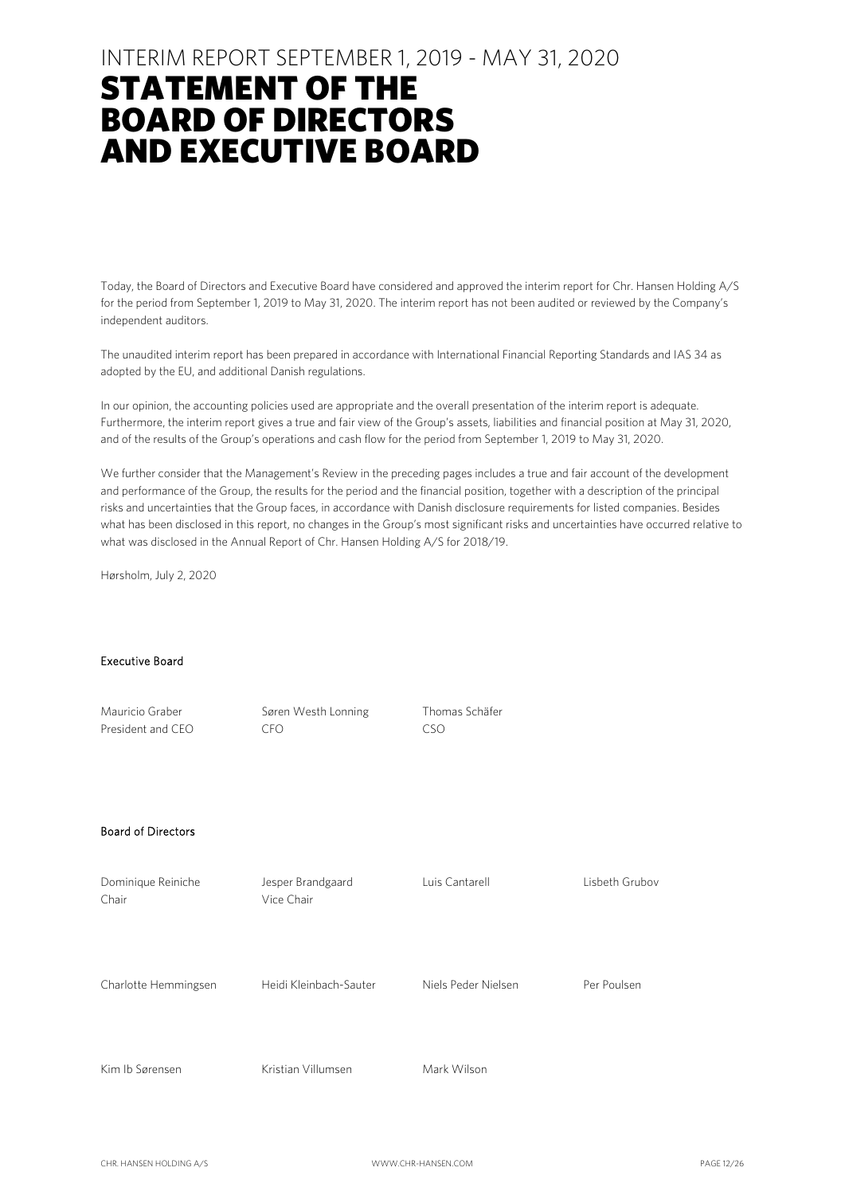### INTERIM REPORT SEPTEMBER 1, 2019 - MAY 31, 2020

### STATEMENT OF THE BOARD OF DIRECTORS AND EXECUTIVE BOARD

Today, the Board of Directors and Executive Board have considered and approved the interim report for Chr. Hansen Holding A/S for the period from September 1, 2019 to May 31, 2020. The interim report has not been audited or reviewed by the Company's independent auditors.

The unaudited interim report has been prepared in accordance with International Financial Reporting Standards and IAS 34 as adopted by the EU, and additional Danish regulations.

In our opinion, the accounting policies used are appropriate and the overall presentation of the interim report is adequate. Furthermore, the interim report gives a true and fair view of the Group's assets, liabilities and financial position at May 31, 2020, and of the results of the Group's operations and cash flow for the period from September 1, 2019 to May 31, 2020.

We further consider that the Management's Review in the preceding pages includes a true and fair account of the development and performance of the Group, the results for the period and the financial position, together with a description of the principal risks and uncertainties that the Group faces, in accordance with Danish disclosure requirements for listed companies. Besides what has been disclosed in this report, no changes in the Group's most significant risks and uncertainties have occurred relative to what was disclosed in the Annual Report of Chr. Hansen Holding A/S for 2018/19.

Hørsholm, July 2, 2020

#### Executive Board

| Mauricio Graber<br>President and CEO | Søren Westh Lonning<br><b>CFO</b> | Thomas Schäfer<br><b>CSO</b> |                |
|--------------------------------------|-----------------------------------|------------------------------|----------------|
| <b>Board of Directors</b>            |                                   |                              |                |
| Dominique Reiniche<br>Chair          | Jesper Brandgaard<br>Vice Chair   | Luis Cantarell               | Lisbeth Grubov |
| Charlotte Hemmingsen                 | Heidi Kleinbach-Sauter            | Niels Peder Nielsen          | Per Poulsen    |
| Kim Ib Sørensen                      | Kristian Villumsen                | Mark Wilson                  |                |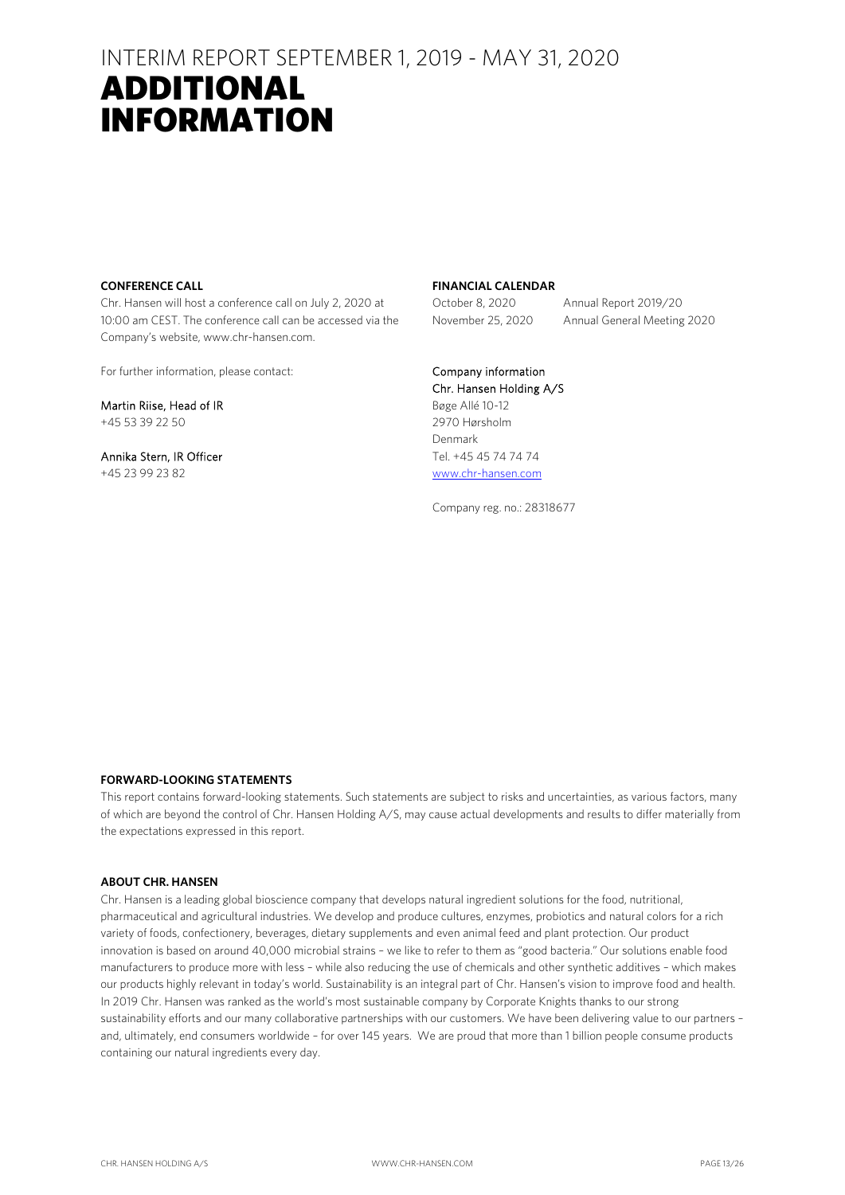### INTERIM REPORT SEPTEMBER 1, 2019 - MAY 31, 2020 ADDITIONAL

## INFORMATION

#### **CONFERENCE CALL**

Chr. Hansen will host a conference call on July 2, 2020 at 10:00 am CEST. The conference call can be accessed via the Company's website, www.chr-hansen.com.

For further information, please contact:

Martin Riise, Head of IR +45 53 39 22 50

Annika Stern, IR Officer +45 23 99 23 82

#### **FINANCIAL CALENDAR**

October 8, 2020 Annual Report 2019/20 November 25, 2020 Annual General Meeting 2020

#### Company information

Chr. Hansen Holding A/S Bøge Allé 10-12 2970 Hørsholm Denmark Tel. +45 45 74 74 74 www.chr-hansen.com

Company reg. no.: 28318677

#### **FORWARD-LOOKING STATEMENTS**

This report contains forward-looking statements. Such statements are subject to risks and uncertainties, as various factors, many of which are beyond the control of Chr. Hansen Holding A/S, may cause actual developments and results to differ materially from the expectations expressed in this report.

#### **ABOUT CHR. HANSEN**

Chr. Hansen is a leading global bioscience company that develops natural ingredient solutions for the food, nutritional, pharmaceutical and agricultural industries. We develop and produce cultures, enzymes, probiotics and natural colors for a rich variety of foods, confectionery, beverages, dietary supplements and even animal feed and plant protection. Our product innovation is based on around 40,000 microbial strains – we like to refer to them as "good bacteria." Our solutions enable food manufacturers to produce more with less – while also reducing the use of chemicals and other synthetic additives – which makes our products highly relevant in today's world. Sustainability is an integral part of Chr. Hansen's vision to improve food and health. In 2019 Chr. Hansen was ranked as the world's most sustainable company by Corporate Knights thanks to our strong sustainability efforts and our many collaborative partnerships with our customers. We have been delivering value to our partners – and, ultimately, end consumers worldwide – for over 145 years. We are proud that more than 1 billion people consume products containing our natural ingredients every day.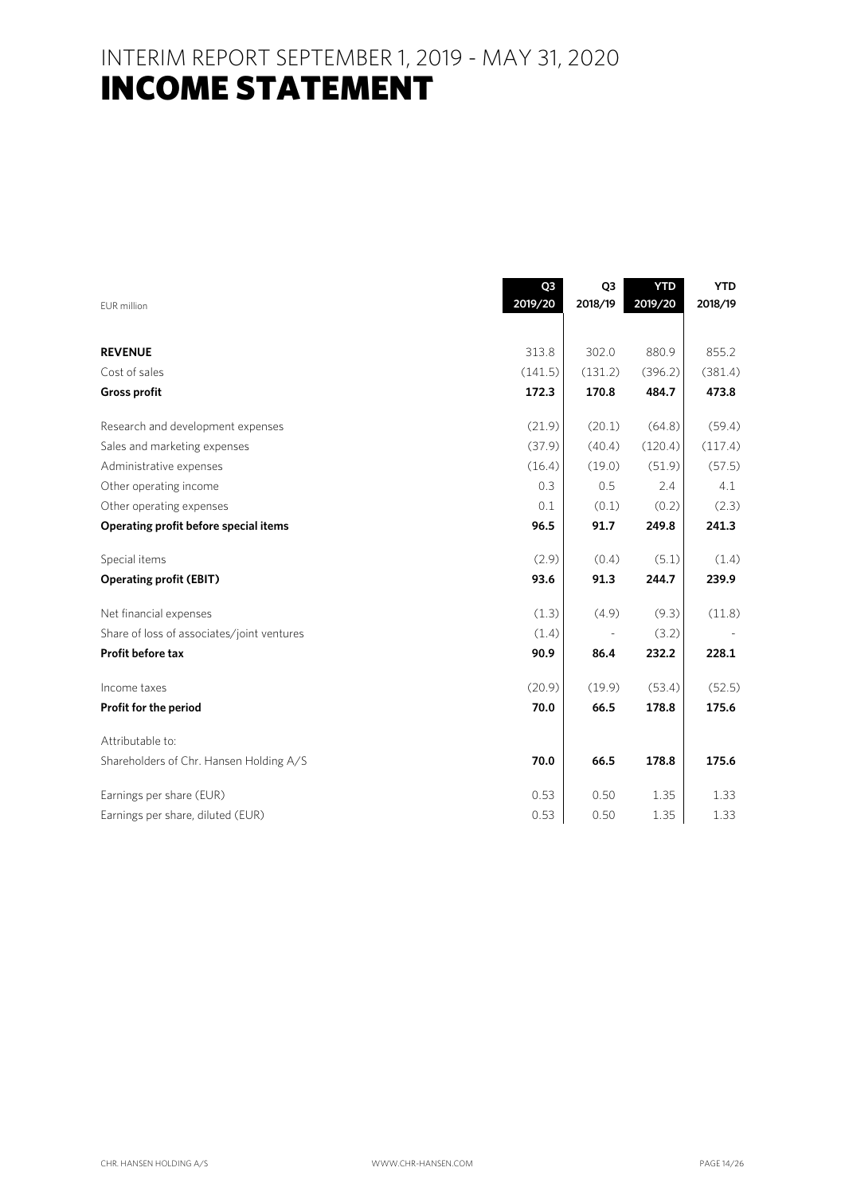INTERIM REPORT SEPTEMBER 1, 2019 - MAY 31, 2020 **INCOME STATEMENT** 

|                                            | Q <sub>3</sub> | Q <sub>3</sub> | <b>YTD</b> | <b>YTD</b> |
|--------------------------------------------|----------------|----------------|------------|------------|
| EUR million                                | 2019/20        | 2018/19        | 2019/20    | 2018/19    |
|                                            |                |                |            |            |
| <b>REVENUE</b>                             | 313.8          | 302.0          | 880.9      | 855.2      |
| Cost of sales                              | (141.5)        | (131.2)        | (396.2)    | (381.4)    |
| <b>Gross profit</b>                        | 172.3          | 170.8          | 484.7      | 473.8      |
| Research and development expenses          | (21.9)         | (20.1)         | (64.8)     | (59.4)     |
| Sales and marketing expenses               | (37.9)         | (40.4)         | (120.4)    | (117.4)    |
| Administrative expenses                    | (16.4)         | (19.0)         | (51.9)     | (57.5)     |
| Other operating income                     | 0.3            | 0.5            | 2.4        | 4.1        |
| Other operating expenses                   | 0.1            | (0.1)          | (0.2)      | (2.3)      |
| Operating profit before special items      | 96.5           | 91.7           | 249.8      | 241.3      |
| Special items                              | (2.9)          | (0.4)          | (5.1)      | (1.4)      |
| <b>Operating profit (EBIT)</b>             | 93.6           | 91.3           | 244.7      | 239.9      |
| Net financial expenses                     | (1.3)          | (4.9)          | (9.3)      | (11.8)     |
| Share of loss of associates/joint ventures | (1.4)          |                | (3.2)      |            |
| Profit before tax                          | 90.9           | 86.4           | 232.2      | 228.1      |
| Income taxes                               | (20.9)         | (19.9)         | (53.4)     | (52.5)     |
| Profit for the period                      | 70.0           | 66.5           | 178.8      | 175.6      |
| Attributable to:                           |                |                |            |            |
| Shareholders of Chr. Hansen Holding A/S    | 70.0           | 66.5           | 178.8      | 175.6      |
| Earnings per share (EUR)                   | 0.53           | 0.50           | 1.35       | 1.33       |
| Earnings per share, diluted (EUR)          | 0.53           | 0.50           | 1.35       | 1.33       |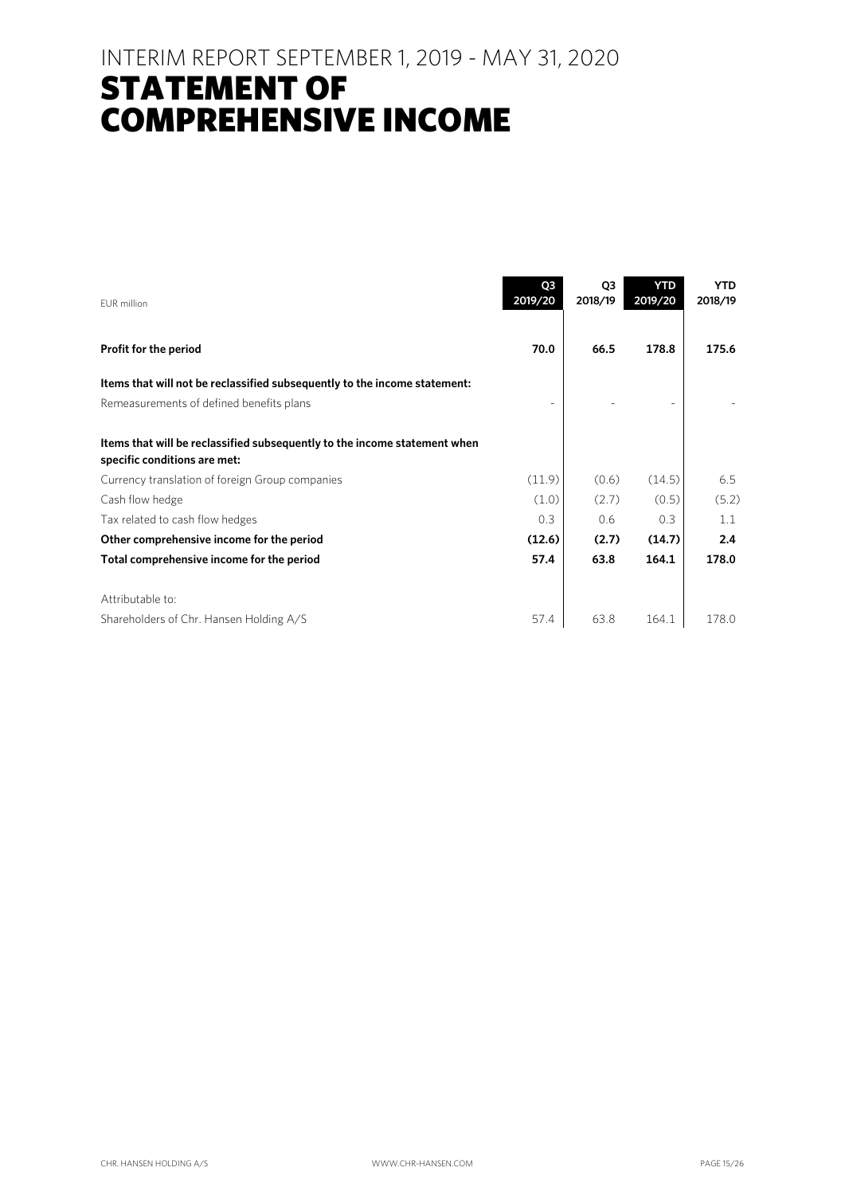### INTERIM REPORT SEPTEMBER 1, 2019 - MAY 31, 2020 STATEMENT OF COMPREHENSIVE INCOME

| <b>EUR</b> million                                                                                        | Q <sub>3</sub><br>2019/20 | Q3<br>2018/19 | <b>YTD</b><br>2019/20 | <b>YTD</b><br>2018/19 |
|-----------------------------------------------------------------------------------------------------------|---------------------------|---------------|-----------------------|-----------------------|
| Profit for the period                                                                                     | 70.0                      | 66.5          | 178.8                 | 175.6                 |
| Items that will not be reclassified subsequently to the income statement:                                 |                           |               |                       |                       |
| Remeasurements of defined benefits plans                                                                  |                           |               |                       |                       |
| Items that will be reclassified subsequently to the income statement when<br>specific conditions are met: |                           |               |                       |                       |
| Currency translation of foreign Group companies                                                           | (11.9)                    | (0.6)         | (14.5)                | 6.5                   |
| Cash flow hedge                                                                                           | (1.0)                     | (2.7)         | (0.5)                 | (5.2)                 |
| Tax related to cash flow hedges                                                                           | 0.3                       | 0.6           | 0.3                   | 1.1                   |
| Other comprehensive income for the period                                                                 | (12.6)                    | (2.7)         | (14.7)                | 2.4                   |
| Total comprehensive income for the period                                                                 | 57.4                      | 63.8          | 164.1                 | 178.0                 |
| Attributable to:                                                                                          |                           |               |                       |                       |
| Shareholders of Chr. Hansen Holding A/S                                                                   | 57.4                      | 63.8          | 164.1                 | 178.0                 |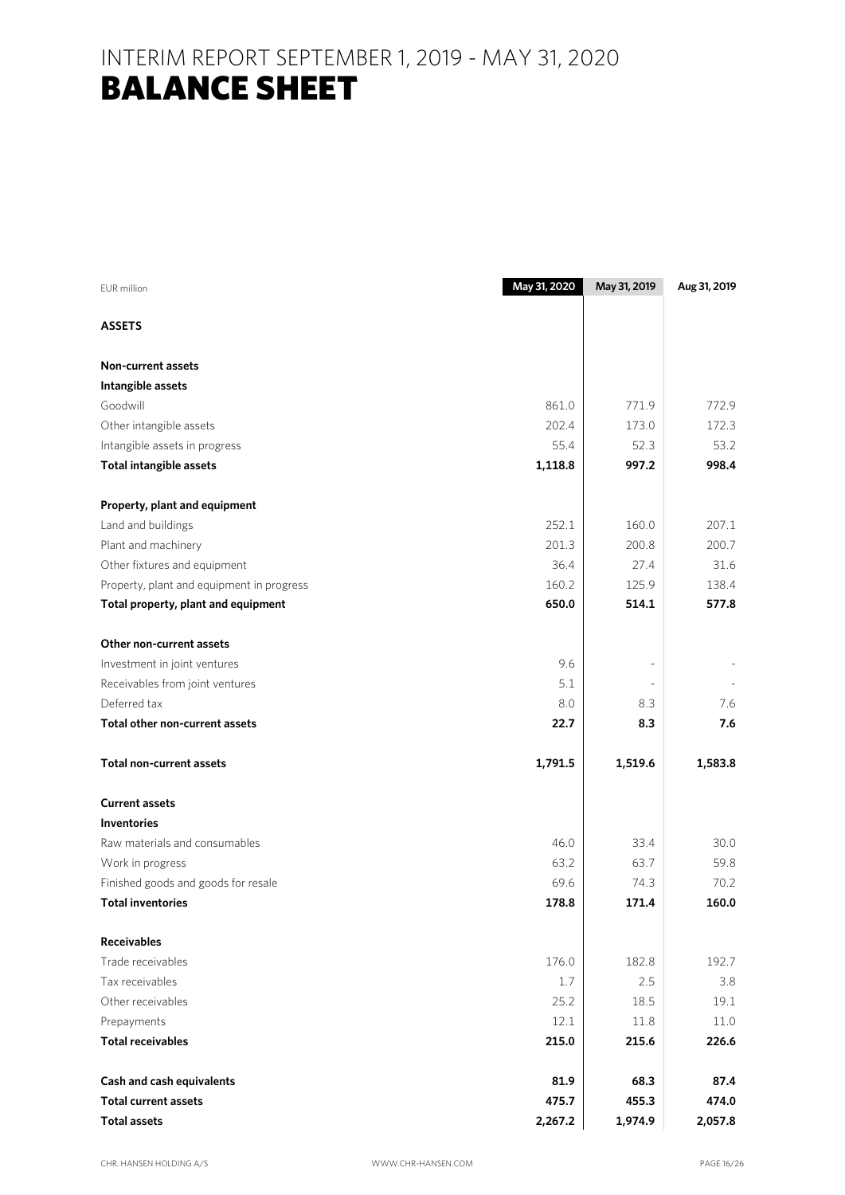### INTERIM REPORT SEPTEMBER 1, 2019 - MAY 31, 2020 BALANCE SHEET

| <b>EUR</b> million                        | May 31, 2020 | May 31, 2019 | Aug 31, 2019 |
|-------------------------------------------|--------------|--------------|--------------|
| <b>ASSETS</b>                             |              |              |              |
| <b>Non-current assets</b>                 |              |              |              |
| Intangible assets                         |              |              |              |
| Goodwill                                  | 861.0        | 771.9        | 772.9        |
| Other intangible assets                   | 202.4        | 173.0        | 172.3        |
| Intangible assets in progress             | 55.4         | 52.3         | 53.2         |
| <b>Total intangible assets</b>            | 1,118.8      | 997.2        | 998.4        |
| Property, plant and equipment             |              |              |              |
| Land and buildings                        | 252.1        | 160.0        | 207.1        |
| Plant and machinery                       | 201.3        | 200.8        | 200.7        |
| Other fixtures and equipment              | 36.4         | 27.4         | 31.6         |
| Property, plant and equipment in progress | 160.2        | 125.9        | 138.4        |
| Total property, plant and equipment       | 650.0        | 514.1        | 577.8        |
| Other non-current assets                  |              |              |              |
| Investment in joint ventures              | 9.6          |              |              |
| Receivables from joint ventures           | 5.1          |              |              |
| Deferred tax                              | 8.0          | 8.3          | 7.6          |
| Total other non-current assets            | 22.7         | 8.3          | 7.6          |
| <b>Total non-current assets</b>           | 1,791.5      | 1,519.6      | 1,583.8      |
| <b>Current assets</b>                     |              |              |              |
| <b>Inventories</b>                        |              |              |              |
| Raw materials and consumables             | 46.0         | 33.4         | 30.0         |
| Work in progress                          | 63.2         | 63.7         | 59.8         |
| Finished goods and goods for resale       | 69.6         | 74.3         | 70.2         |
| <b>Total inventories</b>                  | 178.8        | 171.4        | 160.0        |
| <b>Receivables</b>                        |              |              |              |
| Trade receivables                         | 176.0        | 182.8        | 192.7        |
| Tax receivables                           | 1.7          | 2.5          | 3.8          |
| Other receivables                         | 25.2         | 18.5         | 19.1         |
| Prepayments                               | 12.1         | 11.8         | 11.0         |
| <b>Total receivables</b>                  | 215.0        | 215.6        | 226.6        |
| Cash and cash equivalents                 | 81.9         | 68.3         | 87.4         |
| <b>Total current assets</b>               | 475.7        | 455.3        | 474.0        |
| <b>Total assets</b>                       | 2,267.2      | 1,974.9      | 2,057.8      |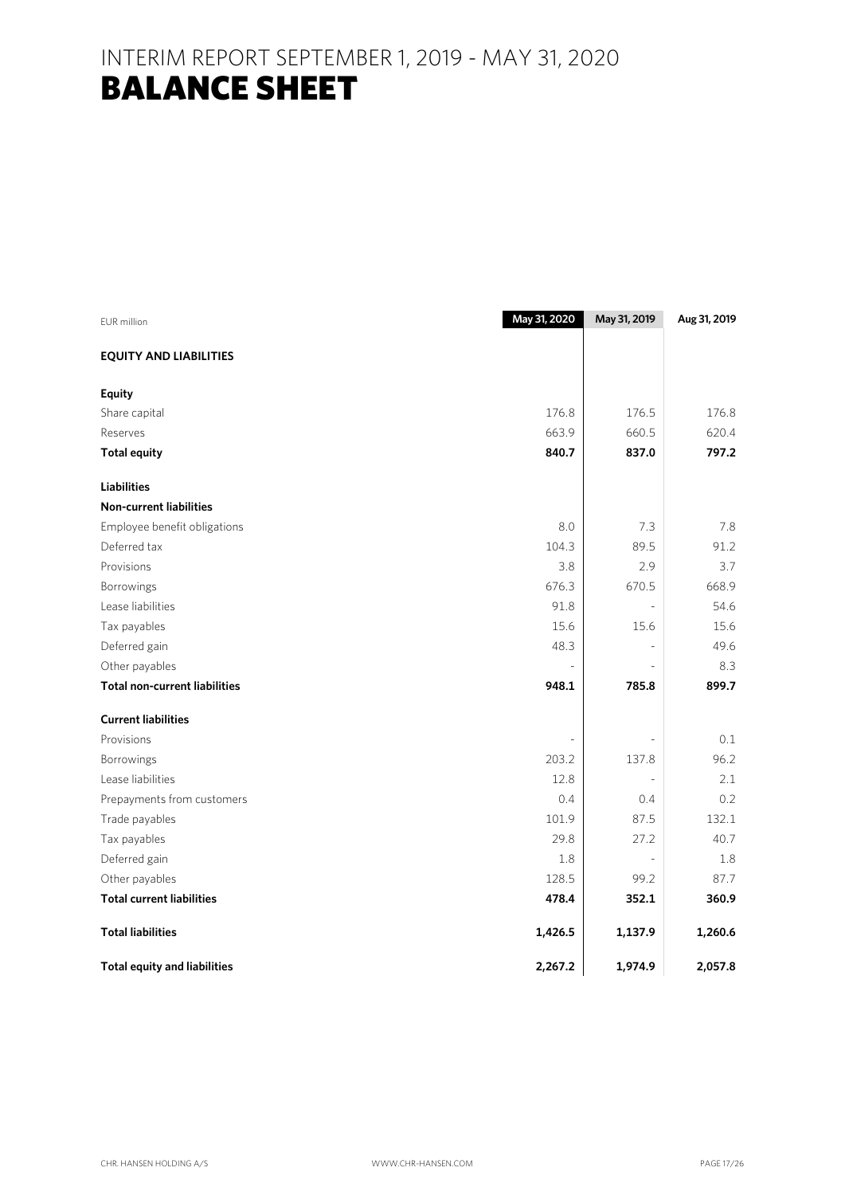### INTERIM REPORT SEPTEMBER 1, 2019 - MAY 31, 2020 BALANCE SHEET

| <b>EUR</b> million                   | May 31, 2020 | May 31, 2019 | Aug 31, 2019 |
|--------------------------------------|--------------|--------------|--------------|
| <b>EQUITY AND LIABILITIES</b>        |              |              |              |
| <b>Equity</b>                        |              |              |              |
| Share capital                        | 176.8        | 176.5        | 176.8        |
| Reserves                             | 663.9        | 660.5        | 620.4        |
| <b>Total equity</b>                  | 840.7        | 837.0        | 797.2        |
| <b>Liabilities</b>                   |              |              |              |
| <b>Non-current liabilities</b>       |              |              |              |
| Employee benefit obligations         | 8.0          | 7.3          | 7.8          |
| Deferred tax                         | 104.3        | 89.5         | 91.2         |
| Provisions                           | 3.8          | 2.9          | 3.7          |
| Borrowings                           | 676.3        | 670.5        | 668.9        |
| Lease liabilities                    | 91.8         |              | 54.6         |
| Tax payables                         | 15.6         | 15.6         | 15.6         |
| Deferred gain                        | 48.3         |              | 49.6         |
| Other payables                       |              |              | 8.3          |
| <b>Total non-current liabilities</b> | 948.1        | 785.8        | 899.7        |
| <b>Current liabilities</b>           |              |              |              |
| Provisions                           |              |              | 0.1          |
| <b>Borrowings</b>                    | 203.2        | 137.8        | 96.2         |
| Lease liabilities                    | 12.8         |              | 2.1          |
| Prepayments from customers           | 0.4          | 0.4          | 0.2          |
| Trade payables                       | 101.9        | 87.5         | 132.1        |
| Tax payables                         | 29.8         | 27.2         | 40.7         |
| Deferred gain                        | 1.8          |              | 1.8          |
| Other payables                       | 128.5        | 99.2         | 87.7         |
| <b>Total current liabilities</b>     | 478.4        | 352.1        | 360.9        |
| <b>Total liabilities</b>             | 1,426.5      | 1,137.9      | 1,260.6      |
| <b>Total equity and liabilities</b>  | 2,267.2      | 1,974.9      | 2,057.8      |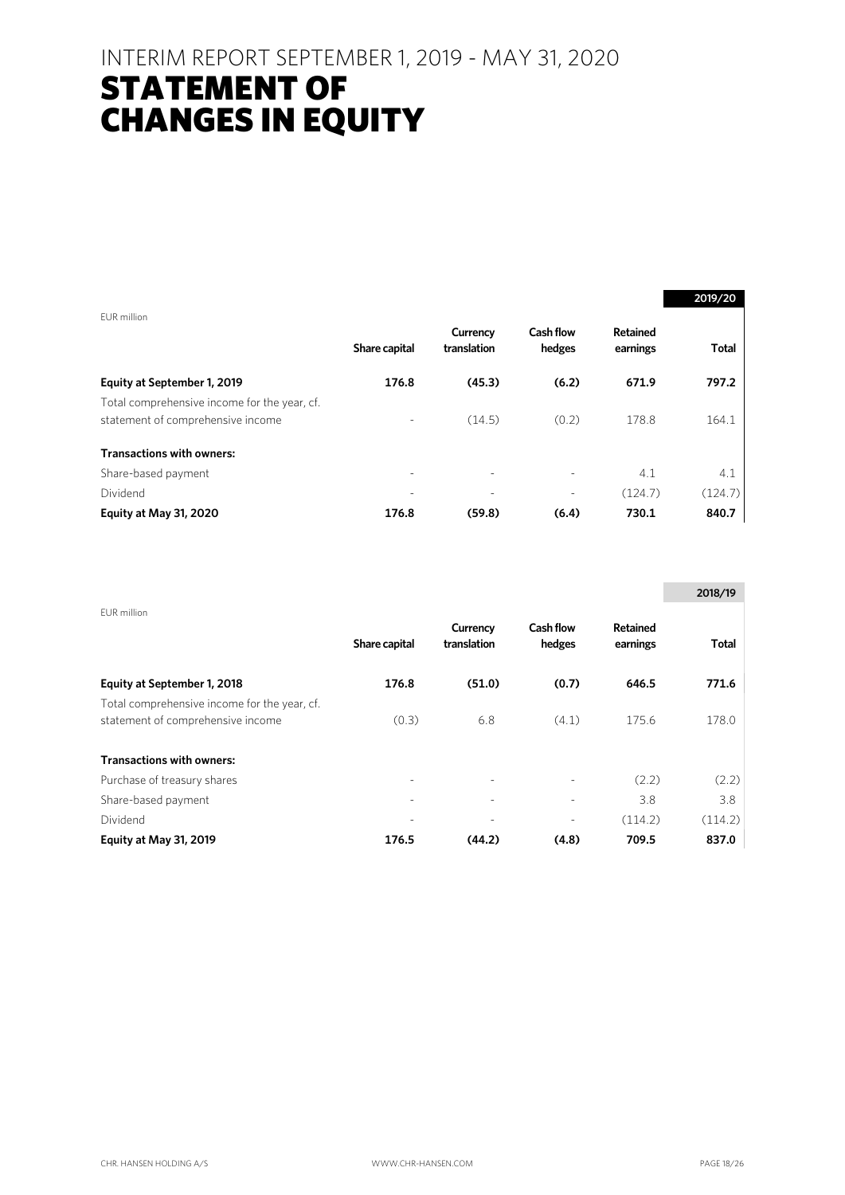### INTERIM REPORT SEPTEMBER 1, 2019 - MAY 31, 2020

### STATEMENT OF CHANGES IN EQUITY

|                                              |                          |                         |                            |                      | 2019/20      |
|----------------------------------------------|--------------------------|-------------------------|----------------------------|----------------------|--------------|
| EUR million                                  |                          |                         |                            |                      |              |
|                                              | Share capital            | Currency<br>translation | <b>Cash flow</b><br>hedges | Retained<br>earnings | <b>Total</b> |
| Equity at September 1, 2019                  | 176.8                    | (45.3)                  | (6.2)                      | 671.9                | 797.2        |
| Total comprehensive income for the year, cf. |                          |                         |                            |                      |              |
| statement of comprehensive income            | $\overline{\phantom{0}}$ | (14.5)                  | (0.2)                      | 178.8                | 164.1        |
| <b>Transactions with owners:</b>             |                          |                         |                            |                      |              |
| Share-based payment                          | $\overline{\phantom{0}}$ |                         |                            | 4.1                  | 4.1          |
| Dividend                                     |                          |                         |                            | (124.7)              | (124.7)      |
| Equity at May 31, 2020                       | 176.8                    | (59.8)                  | (6.4)                      | 730.1                | 840.7        |

|                                              |                          |                         |                            |                             | 2018/19 |
|----------------------------------------------|--------------------------|-------------------------|----------------------------|-----------------------------|---------|
| EUR million                                  | Share capital            | Currency<br>translation | <b>Cash flow</b><br>hedges | <b>Retained</b><br>earnings | Total   |
| Equity at September 1, 2018                  | 176.8                    | (51.0)                  | (0.7)                      | 646.5                       | 771.6   |
| Total comprehensive income for the year, cf. |                          |                         |                            |                             |         |
| statement of comprehensive income            | (0.3)                    | 6.8                     | (4.1)                      | 175.6                       | 178.0   |
| <b>Transactions with owners:</b>             |                          |                         |                            |                             |         |
| Purchase of treasury shares                  |                          |                         |                            | (2.2)                       | (2.2)   |
| Share-based payment                          | $\overline{\phantom{a}}$ | ٠                       |                            | 3.8                         | 3.8     |
| Dividend                                     |                          |                         |                            | (114.2)                     | (114.2) |
| Equity at May 31, 2019                       | 176.5                    | (44.2)                  | (4.8)                      | 709.5                       | 837.0   |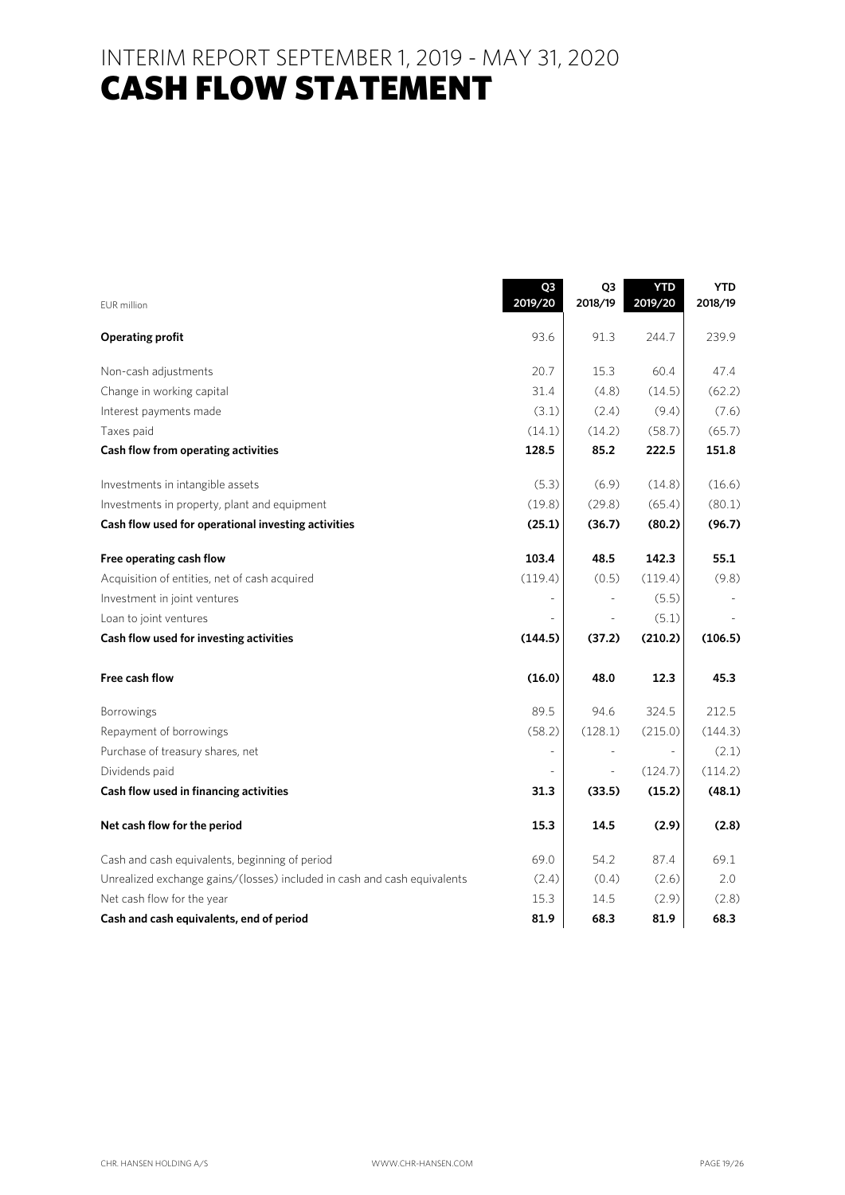INTERIM REPORT SEPTEMBER 1, 2019 - MAY 31, 2020 **CASH FLOW STATEMENT** 

#### EUR million **Q3 2019/20 Q3 2018/19 YTD 2019/20 YTD 2018/19 Operating profit** 93.6 91.3 244.7 239.9 Non-cash adjustments 20.7 15.3 60.4 47.4 Change in working capital  $\begin{array}{ccc} 31.4 & (4.8) & (14.5) & (62.2) \end{array}$ Interest payments made  $(3.1)$   $(2.4)$   $(9.4)$   $(7.6)$ Taxes paid (14.1) (14.2) (58.7) (65.7) **Cash flow from operating activities 128.5 85.2 222.5 151.8**  Investments in intangible assets (5.3) (6.9) (14.8) (16.6) Investments in property, plant and equipment  $(19.8)$   $(29.8)$   $(65.4)$   $(80.1)$ Cash flow used for operational investing activities (25.1) (36.7) (80.2) (96.7) **Free operating cash flow 103.4 103.4 48.5 142.3 55.1** Acquisition of entities, net of cash acquired (119.4) (0.5) (119.4) (9.8) Investment in joint ventures and the set of the set of the set of the set of the set of the set of the set of the set of the set of the set of the set of the set of the set of the set of the set of the set of the set of th Loan to joint ventures - - (5.1) - **Cash flow used for investing activities (144.5) (37.2) (210.2) (106.5) Free cash flow (16.0) 48.0 12.3 45.3**  Borrowings 212.5 212.5 212.5 212.5 212.5 212.5 212.5 212.5 212.5 212.5 212.5 212.5 212.5 212.5 212.5 212.5 212 Repayment of borrowings (58.2) (128.1) (215.0) (144.3) Purchase of treasury shares, net  $\sim$  -  $\sim$  -  $\sim$  -  $\sim$  -  $\sim$  (2.1) Dividends paid  $\begin{bmatrix} 114.2 \end{bmatrix}$ **Cash flow used in financing activities 31.3 (33.5) (15.2) (48.1) Net cash flow for the period 15.3 14.5 (2.9) (2.8) 14.5** (2.9) (2.8) Cash and cash equivalents, beginning of period 69.0 69.0 54.2 87.4 69.1 Unrealized exchange gains/(losses) included in cash and cash equivalents (2.4) (0.4) (2.6) 2.0 Net cash flow for the year 15.3 14.5 (2.9) (2.8) **Cash and cash equivalents, end of period 81.9 68.3 81.9 68.3**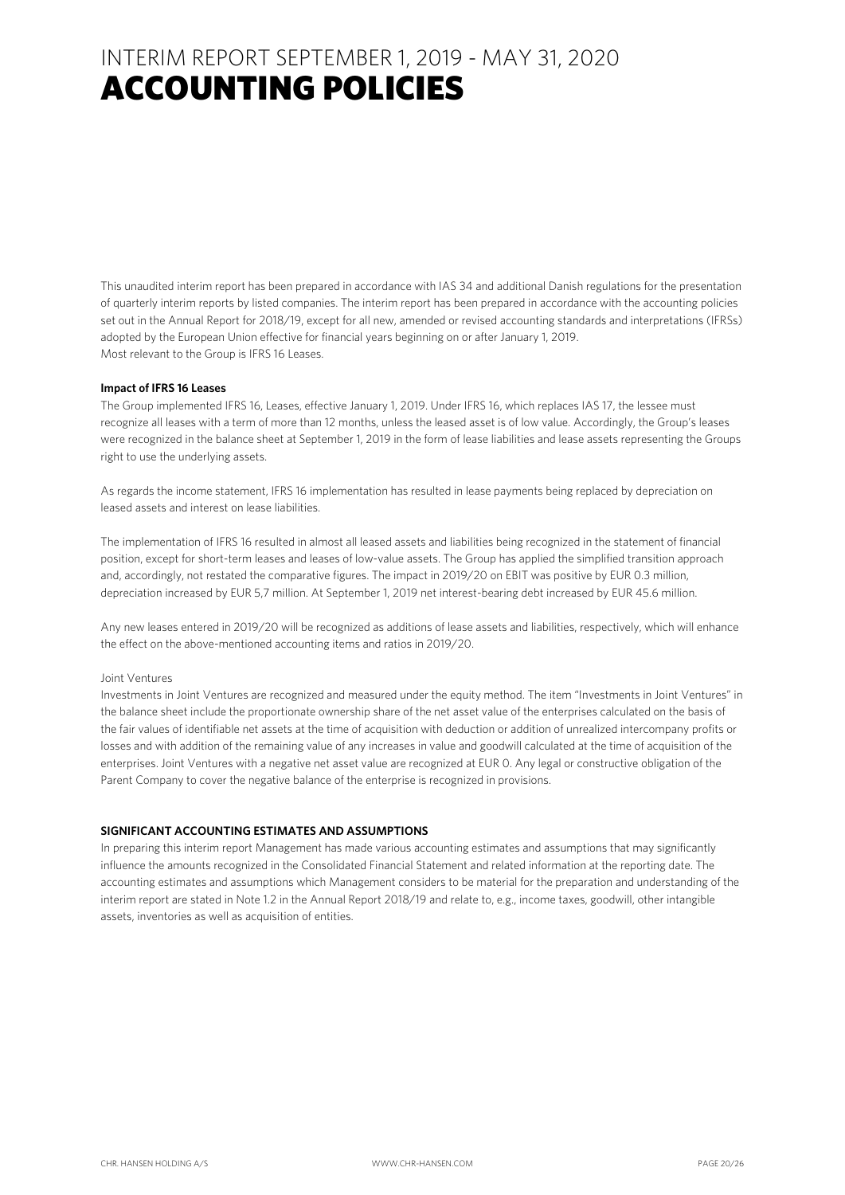This unaudited interim report has been prepared in accordance with IAS 34 and additional Danish regulations for the presentation of quarterly interim reports by listed companies. The interim report has been prepared in accordance with the accounting policies set out in the Annual Report for 2018/19, except for all new, amended or revised accounting standards and interpretations (IFRSs) adopted by the European Union effective for financial years beginning on or after January 1, 2019. Most relevant to the Group is IFRS 16 Leases.

#### **Impact of IFRS 16 Leases**

The Group implemented IFRS 16, Leases, effective January 1, 2019. Under IFRS 16, which replaces IAS 17, the lessee must recognize all leases with a term of more than 12 months, unless the leased asset is of low value. Accordingly, the Group's leases were recognized in the balance sheet at September 1, 2019 in the form of lease liabilities and lease assets representing the Groups right to use the underlying assets.

As regards the income statement, IFRS 16 implementation has resulted in lease payments being replaced by depreciation on leased assets and interest on lease liabilities.

The implementation of IFRS 16 resulted in almost all leased assets and liabilities being recognized in the statement of financial position, except for short-term leases and leases of low-value assets. The Group has applied the simplified transition approach and, accordingly, not restated the comparative figures. The impact in 2019/20 on EBIT was positive by EUR 0.3 million, depreciation increased by EUR 5,7 million. At September 1, 2019 net interest-bearing debt increased by EUR 45.6 million.

Any new leases entered in 2019/20 will be recognized as additions of lease assets and liabilities, respectively, which will enhance the effect on the above-mentioned accounting items and ratios in 2019/20.

#### Joint Ventures

Investments in Joint Ventures are recognized and measured under the equity method. The item "Investments in Joint Ventures" in the balance sheet include the proportionate ownership share of the net asset value of the enterprises calculated on the basis of the fair values of identifiable net assets at the time of acquisition with deduction or addition of unrealized intercompany profits or losses and with addition of the remaining value of any increases in value and goodwill calculated at the time of acquisition of the enterprises. Joint Ventures with a negative net asset value are recognized at EUR 0. Any legal or constructive obligation of the Parent Company to cover the negative balance of the enterprise is recognized in provisions.

#### **SIGNIFICANT ACCOUNTING ESTIMATES AND ASSUMPTIONS**

In preparing this interim report Management has made various accounting estimates and assumptions that may significantly influence the amounts recognized in the Consolidated Financial Statement and related information at the reporting date. The accounting estimates and assumptions which Management considers to be material for the preparation and understanding of the interim report are stated in Note 1.2 in the Annual Report 2018/19 and relate to, e.g., income taxes, goodwill, other intangible assets, inventories as well as acquisition of entities.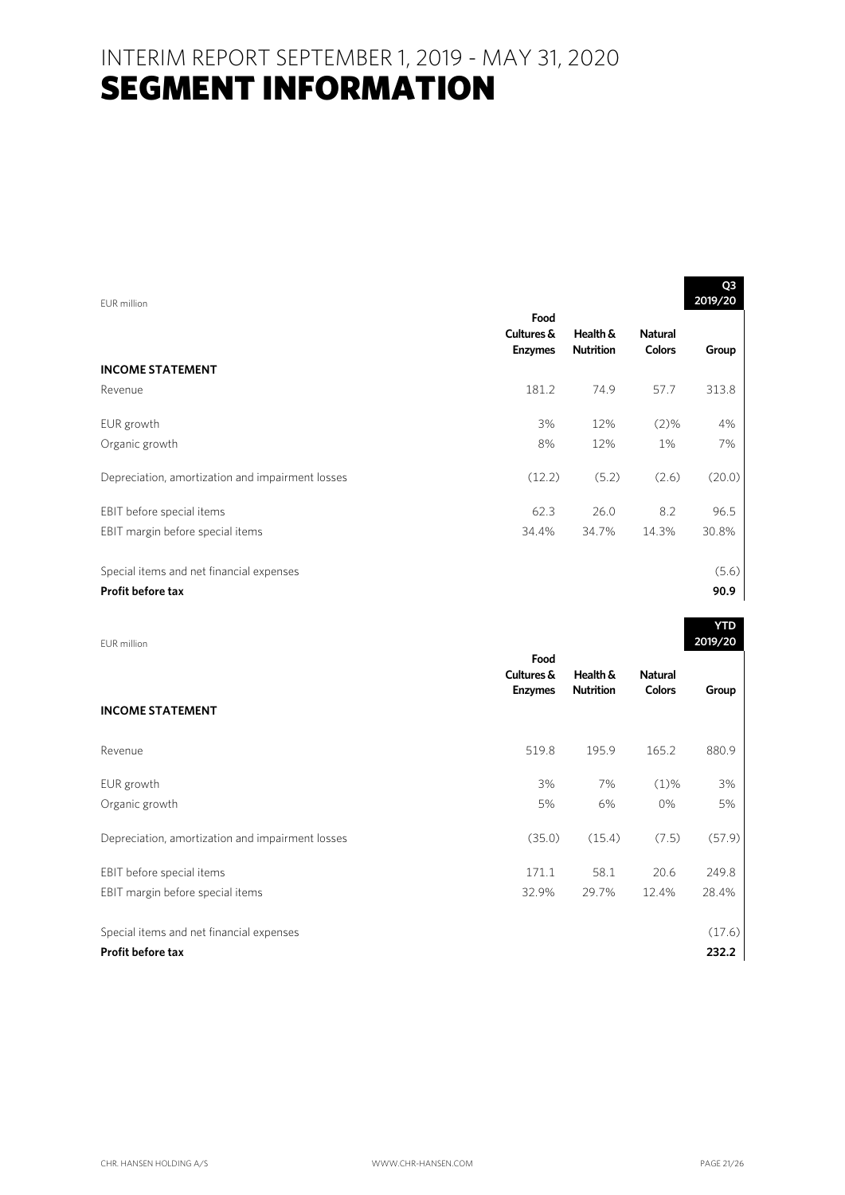| EUR million                                      |                                      |                              |                                 | Q3<br>2019/20 |
|--------------------------------------------------|--------------------------------------|------------------------------|---------------------------------|---------------|
|                                                  | Food<br>Cultures &<br><b>Enzymes</b> | Health &<br><b>Nutrition</b> | <b>Natural</b><br><b>Colors</b> | Group         |
| <b>INCOME STATEMENT</b>                          |                                      |                              |                                 |               |
| Revenue                                          | 181.2                                | 74.9                         | 57.7                            | 313.8         |
| EUR growth                                       | 3%                                   | 12%                          | $(2)\%$                         | 4%            |
| Organic growth                                   | 8%                                   | 12%                          | $1\%$                           | 7%            |
| Depreciation, amortization and impairment losses | (12.2)                               | (5.2)                        | (2.6)                           | (20.0)        |
| EBIT before special items                        | 62.3                                 | 26.0                         | 8.2                             | 96.5          |
| EBIT margin before special items                 | 34.4%                                | 34.7%                        | 14.3%                           | 30.8%         |
| Special items and net financial expenses         |                                      |                              |                                 | (5.6)         |
| <b>Profit before tax</b>                         |                                      |                              |                                 | 90.9          |

| EUR million                                      |                                      |                              |                                 | 2019/20 |
|--------------------------------------------------|--------------------------------------|------------------------------|---------------------------------|---------|
| <b>INCOME STATEMENT</b>                          | Food<br>Cultures &<br><b>Enzymes</b> | Health &<br><b>Nutrition</b> | <b>Natural</b><br><b>Colors</b> | Group   |
|                                                  |                                      |                              |                                 |         |
| Revenue                                          | 519.8                                | 195.9                        | 165.2                           | 880.9   |
| EUR growth                                       | 3%                                   | 7%                           | $(1)\%$                         | 3%      |
| Organic growth                                   | 5%                                   | 6%                           | $0\%$                           | 5%      |
| Depreciation, amortization and impairment losses | (35.0)                               | (15.4)                       | (7.5)                           | (57.9)  |
| EBIT before special items                        | 171.1                                | 58.1                         | 20.6                            | 249.8   |
| EBIT margin before special items                 | 32.9%                                | 29.7%                        | 12.4%                           | 28.4%   |
| Special items and net financial expenses         |                                      |                              |                                 | (17.6)  |
| <b>Profit before tax</b>                         |                                      |                              |                                 | 232.2   |

**YTD**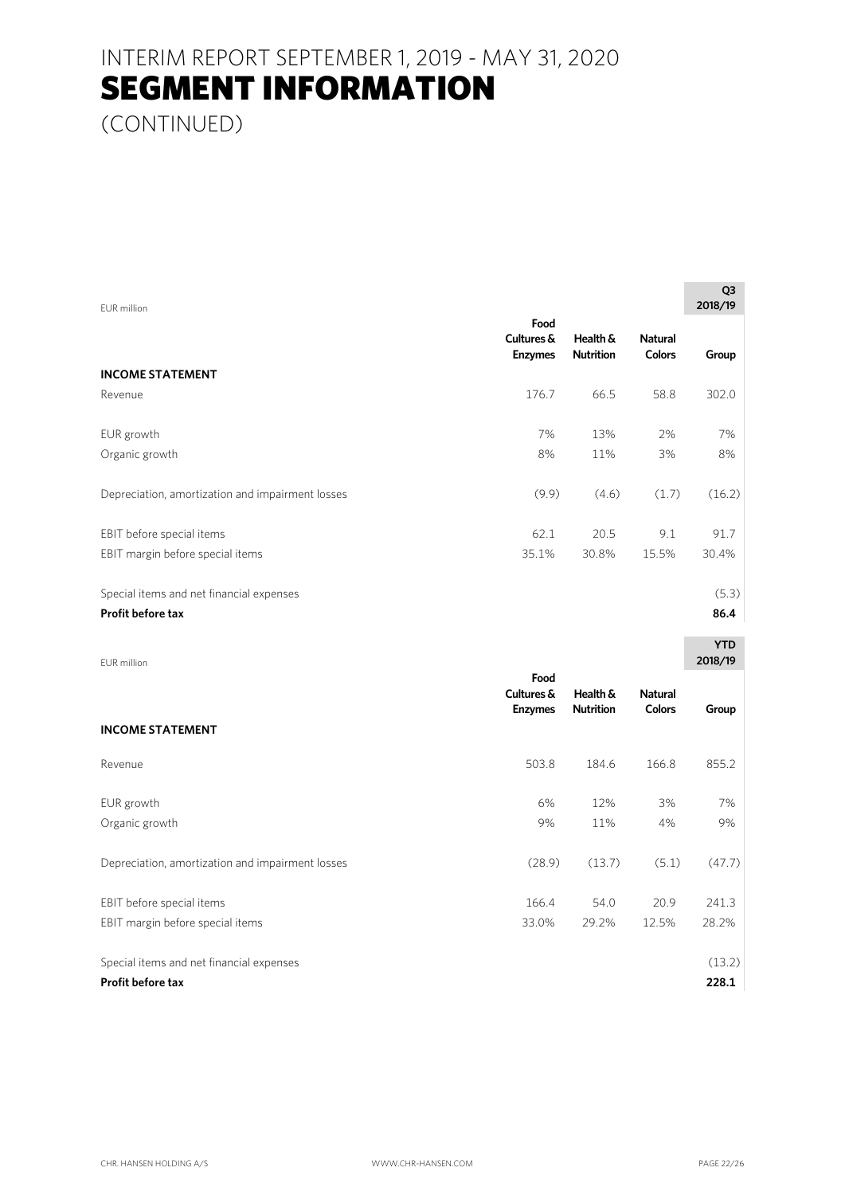(CONTINUED)

| EUR million                                      |                                      |                              |                                 | Q3<br>2018/19 |
|--------------------------------------------------|--------------------------------------|------------------------------|---------------------------------|---------------|
|                                                  | Food<br>Cultures &<br><b>Enzymes</b> | Health &<br><b>Nutrition</b> | <b>Natural</b><br><b>Colors</b> | Group         |
| <b>INCOME STATEMENT</b>                          |                                      |                              |                                 |               |
| Revenue                                          | 176.7                                | 66.5                         | 58.8                            | 302.0         |
| EUR growth                                       | 7%                                   | 13%                          | 2%                              | 7%            |
| Organic growth                                   | 8%                                   | 11%                          | 3%                              | 8%            |
| Depreciation, amortization and impairment losses | (9.9)                                | (4.6)                        | (1.7)                           | (16.2)        |
| EBIT before special items                        | 62.1                                 | 20.5                         | 9.1                             | 91.7          |
| EBIT margin before special items                 | 35.1%                                | 30.8%                        | 15.5%                           | 30.4%         |
| Special items and net financial expenses         |                                      |                              |                                 | (5.3)         |
| <b>Profit before tax</b>                         |                                      |                              |                                 | 86.4          |

| EUR million                                                   |                                      |                              |                                 | <b>YTD</b><br>2018/19 |
|---------------------------------------------------------------|--------------------------------------|------------------------------|---------------------------------|-----------------------|
| <b>INCOME STATEMENT</b>                                       | Food<br>Cultures &<br><b>Enzymes</b> | Health &<br><b>Nutrition</b> | <b>Natural</b><br><b>Colors</b> | Group                 |
| Revenue                                                       | 503.8                                | 184.6                        | 166.8                           | 855.2                 |
| EUR growth<br>Organic growth                                  | 6%<br>9%                             | 12%<br>11%                   | 3%<br>4%                        | 7%<br>9%              |
| Depreciation, amortization and impairment losses              | (28.9)                               | (13.7)                       | (5.1)                           | (47.7)                |
| EBIT before special items<br>EBIT margin before special items | 166.4<br>33.0%                       | 54.0<br>29.2%                | 20.9<br>12.5%                   | 241.3<br>28.2%        |
| Special items and net financial expenses                      |                                      |                              |                                 | (13.2)                |
| Profit before tax                                             |                                      |                              |                                 | 228.1                 |

**Q3 Q3**  $\sim$  200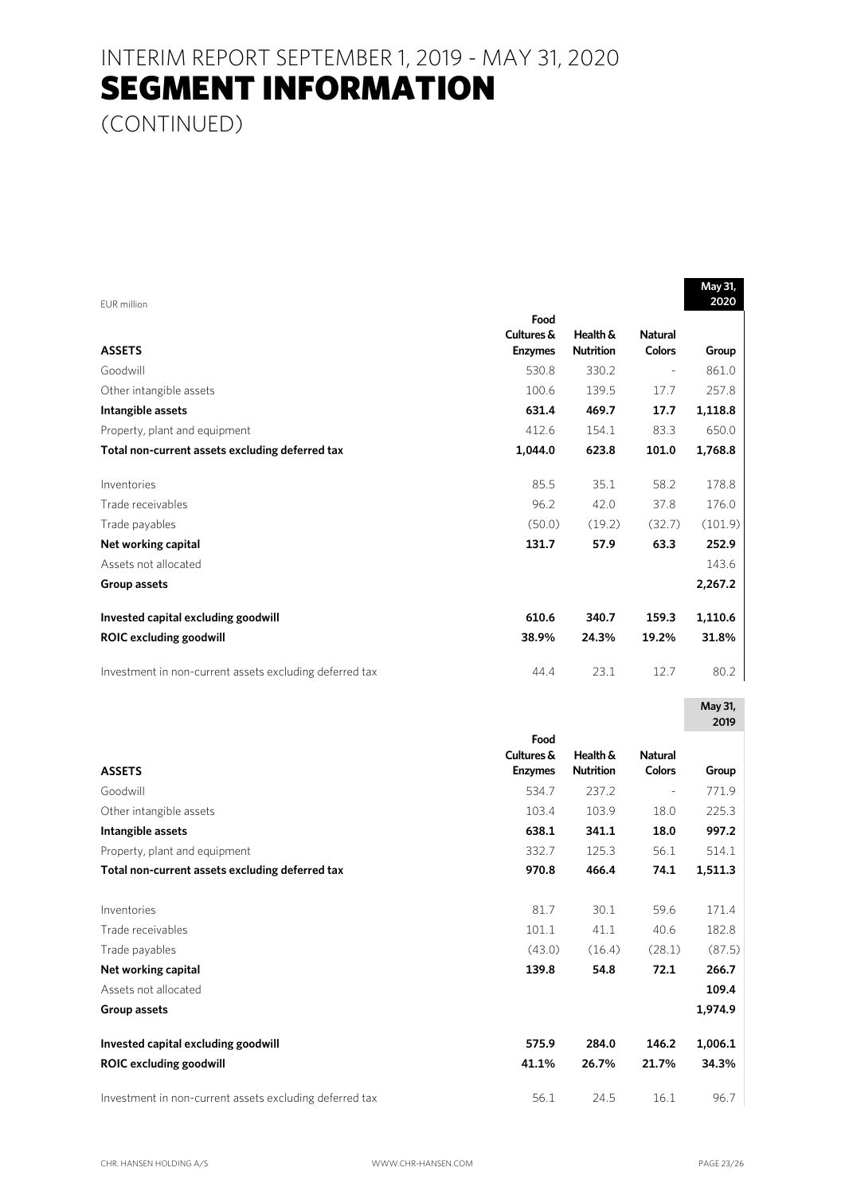(CONTINUED)

| EUR million                                             |                    |                  |                | 2020            |
|---------------------------------------------------------|--------------------|------------------|----------------|-----------------|
|                                                         | Food<br>Cultures & | Health &         | <b>Natural</b> |                 |
| <b>ASSETS</b>                                           | <b>Enzymes</b>     | <b>Nutrition</b> | <b>Colors</b>  | Group           |
| Goodwill                                                | 530.8              | 330.2            |                | 861.0           |
| Other intangible assets                                 | 100.6              | 139.5            | 17.7           | 257.8           |
| Intangible assets                                       | 631.4              | 469.7            | 17.7           | 1,118.8         |
| Property, plant and equipment                           | 412.6              | 154.1            | 83.3           | 650.0           |
| Total non-current assets excluding deferred tax         | 1,044.0            | 623.8            | 101.0          | 1,768.8         |
| Inventories                                             | 85.5               | 35.1             | 58.2           | 178.8           |
| Trade receivables                                       | 96.2               | 42.0             | 37.8           | 176.0           |
| Trade payables                                          | (50.0)             | (19.2)           | (32.7)         | (101.9)         |
| Net working capital                                     | 131.7              | 57.9             | 63.3           | 252.9           |
| Assets not allocated                                    |                    |                  |                | 143.6           |
| Group assets                                            |                    |                  |                | 2,267.2         |
| Invested capital excluding goodwill                     | 610.6              | 340.7            | 159.3          | 1,110.6         |
| <b>ROIC excluding goodwill</b>                          | 38.9%              | 24.3%            | 19.2%          | 31.8%           |
| Investment in non-current assets excluding deferred tax | 44.4               | 23.1             | 12.7           | 80.2            |
|                                                         |                    |                  |                | May 31,<br>2019 |
|                                                         | Food               |                  |                |                 |
|                                                         | Cultures &         | Health &         | <b>Natural</b> |                 |
| <b>ASSETS</b>                                           | <b>Enzymes</b>     | <b>Nutrition</b> | <b>Colors</b>  | Group           |
| Goodwill                                                | 534.7              | 237.2            | ÷              | 771.9           |
| Other intangible assets                                 | 103.4              | 103.9            | 18.0           | 225.3           |
| Intangible assets                                       | 638.1              | 341.1            | 18.0           | 997.2           |
| Property, plant and equipment                           | 332.7              | 125.3            | 56.1           | 514.1           |
| Total non-current assets excluding deferred tax         | 970.8              | 466.4            | 74.1           | 1,511.3         |
| Inventories                                             | 81.7               | 30.1             | 59.6           | 171.4           |
| Trade receivables                                       | 101.1              | 41.1             | 40.6           | 182.8           |
| Trade payables                                          | (43.0)             | (16.4)           | (28.1)         | (87.5)          |
| Net working capital                                     | 139.8              | 54.8             | 72.1           | 266.7           |
| Assets not allocated                                    |                    |                  |                | 109.4           |
| Group assets                                            |                    |                  |                | 1,974.9         |
| Invested capital excluding goodwill                     | 575.9              | 284.0            | 146.2          | 1,006.1         |
| <b>ROIC excluding goodwill</b>                          | 41.1%              | 26.7%            | 21.7%          | 34.3%           |
| Investment in non-current assets excluding deferred tax | 56.1               | 24.5             | 16.1           | 96.7            |

**May 31,**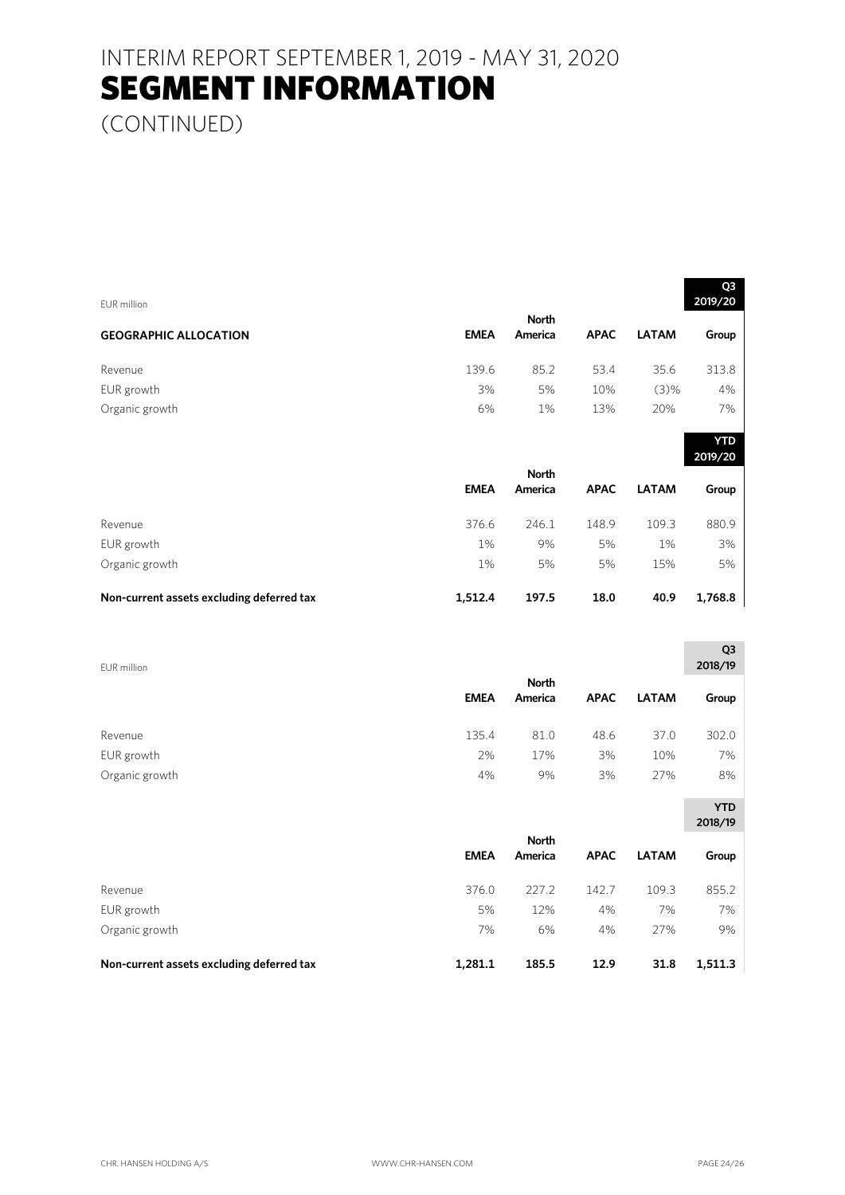(CONTINUED)

| <b>EUR</b> million                        |             |                         |             |              | 2019/20               |
|-------------------------------------------|-------------|-------------------------|-------------|--------------|-----------------------|
| <b>GEOGRAPHIC ALLOCATION</b>              | <b>EMEA</b> | <b>North</b><br>America | <b>APAC</b> | <b>LATAM</b> | Group                 |
| Revenue                                   | 139.6       | 85.2                    | 53.4        | 35.6         | 313.8                 |
| EUR growth                                | 3%          | 5%                      | 10%         | (3)%         | 4%                    |
| Organic growth                            | 6%          | 1%                      | 13%         | 20%          | 7%                    |
|                                           |             |                         |             |              | <b>YTD</b><br>2019/20 |
|                                           |             | <b>North</b>            |             |              |                       |
|                                           | <b>EMEA</b> | America                 | <b>APAC</b> | <b>LATAM</b> | Group                 |
| Revenue                                   | 376.6       | 246.1                   | 148.9       | 109.3        | 880.9                 |
| EUR growth                                | 1%          | 9%                      | 5%          | 1%           | 3%                    |
| Organic growth                            | $1\%$       | 5%                      | 5%          | 15%          | 5%                    |
| Non-current assets excluding deferred tax | 1,512.4     | 197.5                   | 18.0        | 40.9         | 1,768.8               |
|                                           |             |                         |             |              | Q3                    |
| <b>EUR</b> million                        |             | <b>North</b>            |             |              | 2018/19               |
|                                           | <b>EMEA</b> | America                 | <b>APAC</b> | <b>LATAM</b> | Group                 |
| Revenue                                   | 135.4       | 81.0                    | 48.6        | 37.0         | 302.0                 |
| EUR growth                                | 2%          | 17%                     | 3%          | 10%          | 7%                    |
| Organic growth                            | 4%          | 9%                      | 3%          | 27%          | 8%                    |
|                                           |             |                         |             |              | <b>YTD</b>            |
|                                           |             |                         |             |              | 2018/19               |
|                                           | <b>EMEA</b> | <b>North</b><br>America | <b>APAC</b> | <b>LATAM</b> | Group                 |
| Revenue                                   | 376.0       | 227.2                   | 142.7       | 109.3        | 855.2                 |
| EUR growth                                | 5%          | 12%                     | 4%          | 7%           | 7%                    |
| Organic growth                            | 7%          | 6%                      | 4%          | 27%          | 9%                    |

**Non-current assets excluding deferred tax 1,281.1 185.5 12.9 31.8 1,511.3** 

 $\overline{Q}$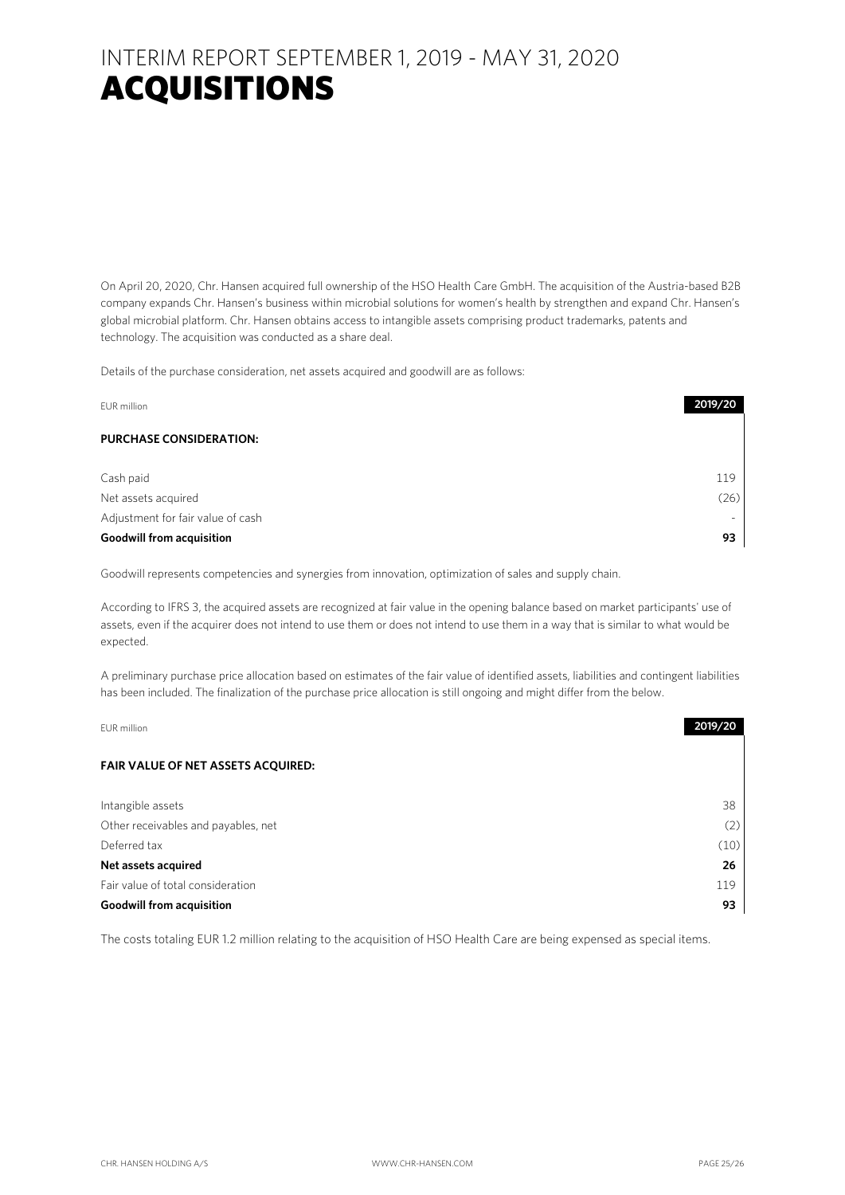### INTERIM REPORT SEPTEMBER 1, 2019 - MAY 31, 2020 ACQUISITIONS

On April 20, 2020, Chr. Hansen acquired full ownership of the HSO Health Care GmbH. The acquisition of the Austria-based B2B company expands Chr. Hansen's business within microbial solutions for women's health by strengthen and expand Chr. Hansen's global microbial platform. Chr. Hansen obtains access to intangible assets comprising product trademarks, patents and technology. The acquisition was conducted as a share deal.

Details of the purchase consideration, net assets acquired and goodwill are as follows:

| EUR million                       | 2019/20 |
|-----------------------------------|---------|
| <b>PURCHASE CONSIDERATION:</b>    |         |
| Cash paid                         | 119     |
| Net assets acquired               | (26)    |
| Adjustment for fair value of cash |         |
| <b>Goodwill from acquisition</b>  | 93      |

Goodwill represents competencies and synergies from innovation, optimization of sales and supply chain.

According to IFRS 3, the acquired assets are recognized at fair value in the opening balance based on market participants' use of assets, even if the acquirer does not intend to use them or does not intend to use them in a way that is similar to what would be expected.

A preliminary purchase price allocation based on estimates of the fair value of identified assets, liabilities and contingent liabilities has been included. The finalization of the purchase price allocation is still ongoing and might differ from the below.

| EUR million                               | 2019/20 |
|-------------------------------------------|---------|
| <b>FAIR VALUE OF NET ASSETS ACQUIRED:</b> |         |
| Intangible assets                         | 38      |
| Other receivables and payables, net       | (2)     |
| Deferred tax                              | (10)    |
| Net assets acquired                       | 26      |
| Fair value of total consideration         | 119     |
| <b>Goodwill from acquisition</b>          | 93      |

The costs totaling EUR 1.2 million relating to the acquisition of HSO Health Care are being expensed as special items.